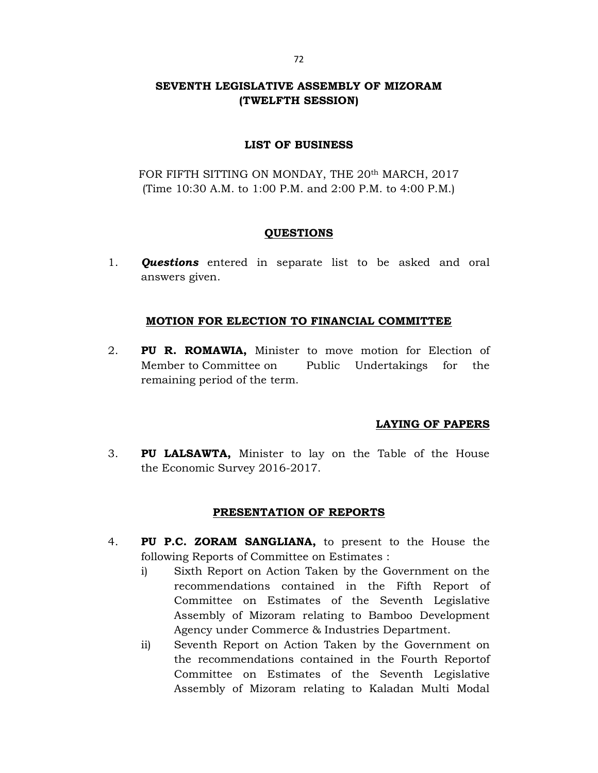# SEVENTH LEGISLATIVE ASSEMBLY OF MIZORAM (TWELFTH SESSION)

### LIST OF BUSINESS

FOR FIFTH SITTING ON MONDAY, THE 20<sup>th</sup> MARCH, 2017 (Time 10:30 A.M. to 1:00 P.M. and 2:00 P.M. to 4:00 P.M.)

### QUESTIONS

1. **Questions** entered in separate list to be asked and oral answers given.

### MOTION FOR ELECTION TO FINANCIAL COMMITTEE

2. PU R. ROMAWIA, Minister to move motion for Election of Member to Committee on Public Undertakings for the remaining period of the term.

## LAYING OF PAPERS

3. PU LALSAWTA, Minister to lay on the Table of the House the Economic Survey 2016-2017.

## PRESENTATION OF REPORTS

- 4. PU P.C. ZORAM SANGLIANA, to present to the House the following Reports of Committee on Estimates :
	- i) Sixth Report on Action Taken by the Government on the recommendations contained in the Fifth Report of Committee on Estimates of the Seventh Legislative Assembly of Mizoram relating to Bamboo Development Agency under Commerce & Industries Department.
	- ii) Seventh Report on Action Taken by the Government on the recommendations contained in the Fourth Reportof Committee on Estimates of the Seventh Legislative Assembly of Mizoram relating to Kaladan Multi Modal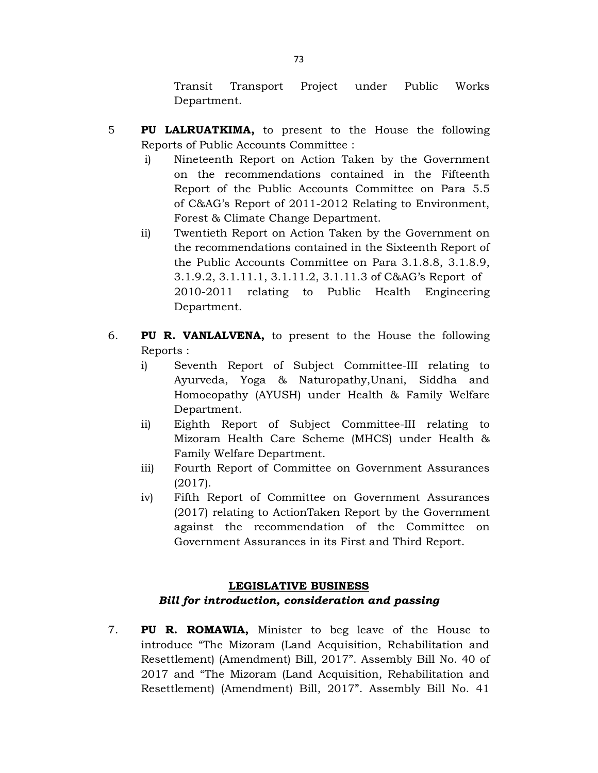Transit Transport Project under Public Works Department.

- 5 PU LALRUATKIMA, to present to the House the following Reports of Public Accounts Committee :
	- i) Nineteenth Report on Action Taken by the Government on the recommendations contained in the Fifteenth Report of the Public Accounts Committee on Para 5.5 of C&AG's Report of 2011-2012 Relating to Environment, Forest & Climate Change Department.
	- ii) Twentieth Report on Action Taken by the Government on the recommendations contained in the Sixteenth Report of the Public Accounts Committee on Para 3.1.8.8, 3.1.8.9, 3.1.9.2, 3.1.11.1, 3.1.11.2, 3.1.11.3 of C&AG's Report of 2010-2011 relating to Public Health Engineering Department.
- 6. PU R. VANLALVENA, to present to the House the following Reports :
	- i) Seventh Report of Subject Committee-III relating to Ayurveda, Yoga & Naturopathy,Unani, Siddha and Homoeopathy (AYUSH) under Health & Family Welfare Department.
	- ii) Eighth Report of Subject Committee-III relating to Mizoram Health Care Scheme (MHCS) under Health & Family Welfare Department.
	- iii) Fourth Report of Committee on Government Assurances (2017).
	- iv) Fifth Report of Committee on Government Assurances (2017) relating to ActionTaken Report by the Government against the recommendation of the Committee on Government Assurances in its First and Third Report.

## LEGISLATIVE BUSINESS

# Bill for introduction, consideration and passing

7. PU R. ROMAWIA, Minister to beg leave of the House to introduce "The Mizoram (Land Acquisition, Rehabilitation and Resettlement) (Amendment) Bill, 2017". Assembly Bill No. 40 of 2017 and "The Mizoram (Land Acquisition, Rehabilitation and Resettlement) (Amendment) Bill, 2017". Assembly Bill No. 41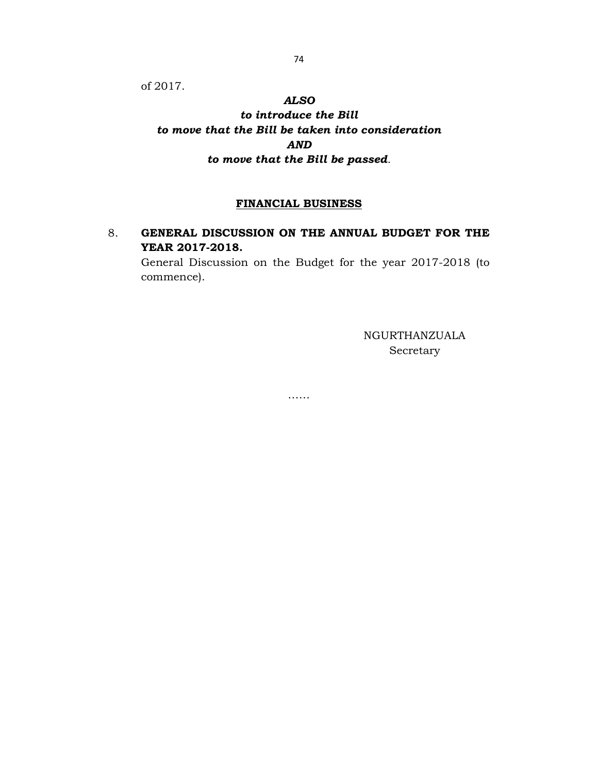of 2017.

### ALSO

to introduce the Bill to move that the Bill be taken into consideration AND to move that the Bill be passed.

### FINANCIAL BUSINESS

# 8. GENERAL DISCUSSION ON THE ANNUAL BUDGET FOR THE YEAR 2017-2018.

……

 General Discussion on the Budget for the year 2017-2018 (to commence).

> NGURTHANZUALA Secretary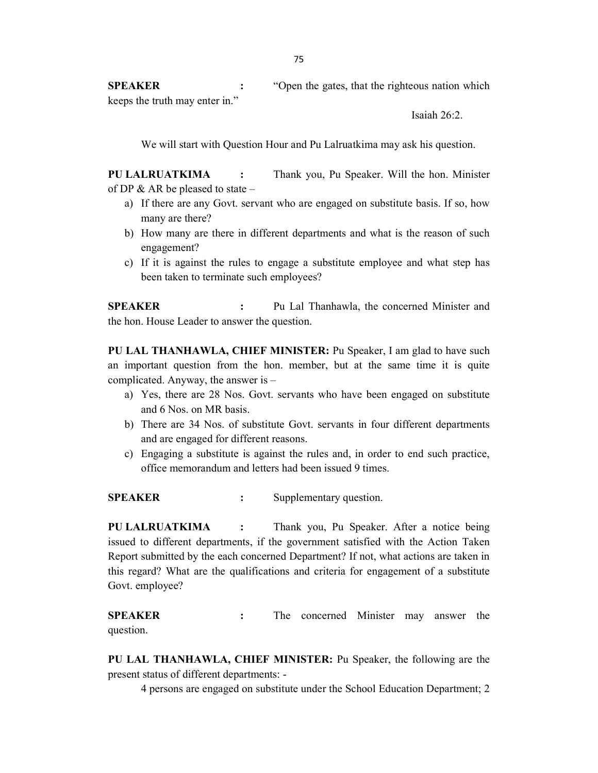SPEAKER : "Open the gates, that the righteous nation which keeps the truth may enter in."

Isaiah 26:2.

We will start with Question Hour and Pu Lalruatkima may ask his question.

PU LALRUATKIMA : Thank you, Pu Speaker. Will the hon. Minister of DP & AR be pleased to state –

- a) If there are any Govt. servant who are engaged on substitute basis. If so, how many are there?
- b) How many are there in different departments and what is the reason of such engagement?
- c) If it is against the rules to engage a substitute employee and what step has been taken to terminate such employees?

**SPEAKER** : Pu Lal Thanhawla, the concerned Minister and the hon. House Leader to answer the question.

PU LAL THANHAWLA, CHIEF MINISTER: Pu Speaker, I am glad to have such an important question from the hon. member, but at the same time it is quite complicated. Anyway, the answer is –

- a) Yes, there are 28 Nos. Govt. servants who have been engaged on substitute and 6 Nos. on MR basis.
- b) There are 34 Nos. of substitute Govt. servants in four different departments and are engaged for different reasons.
- c) Engaging a substitute is against the rules and, in order to end such practice, office memorandum and letters had been issued 9 times.

SPEAKER : Supplementary question.

PU LALRUATKIMA : Thank you, Pu Speaker. After a notice being issued to different departments, if the government satisfied with the Action Taken Report submitted by the each concerned Department? If not, what actions are taken in this regard? What are the qualifications and criteria for engagement of a substitute Govt. employee?

**SPEAKER** : The concerned Minister may answer the question.

PU LAL THANHAWLA, CHIEF MINISTER: Pu Speaker, the following are the present status of different departments: -

4 persons are engaged on substitute under the School Education Department; 2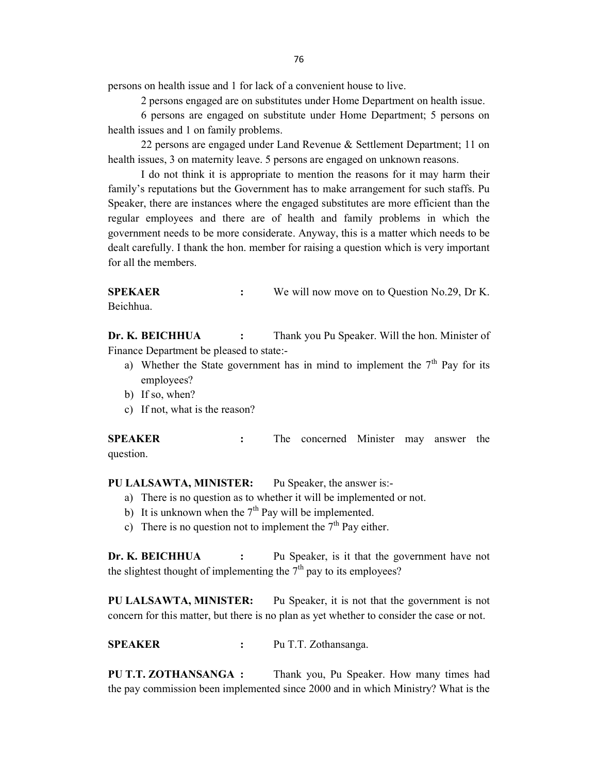persons on health issue and 1 for lack of a convenient house to live.

2 persons engaged are on substitutes under Home Department on health issue.

 6 persons are engaged on substitute under Home Department; 5 persons on health issues and 1 on family problems.

 22 persons are engaged under Land Revenue & Settlement Department; 11 on health issues, 3 on maternity leave. 5 persons are engaged on unknown reasons.

 I do not think it is appropriate to mention the reasons for it may harm their family's reputations but the Government has to make arrangement for such staffs. Pu Speaker, there are instances where the engaged substitutes are more efficient than the regular employees and there are of health and family problems in which the government needs to be more considerate. Anyway, this is a matter which needs to be dealt carefully. I thank the hon. member for raising a question which is very important for all the members.

SPEKAER : We will now move on to Question No.29, Dr K. Beichhua.

Dr. K. BEICHHUA : Thank you Pu Speaker. Will the hon. Minister of Finance Department be pleased to state:-

- a) Whether the State government has in mind to implement the  $7<sup>th</sup>$  Pay for its employees?
- b) If so, when?
- c) If not, what is the reason?

SPEAKER : The concerned Minister may answer the question.

PU LALSAWTA, MINISTER: Pu Speaker, the answer is:-

- a) There is no question as to whether it will be implemented or not.
- b) It is unknown when the  $7<sup>th</sup>$  Pay will be implemented.
- c) There is no question not to implement the  $7<sup>th</sup>$  Pay either.

Dr. K. BEICHHUA : Pu Speaker, is it that the government have not the slightest thought of implementing the  $7<sup>th</sup>$  pay to its employees?

PU LALSAWTA, MINISTER: Pu Speaker, it is not that the government is not concern for this matter, but there is no plan as yet whether to consider the case or not.

SPEAKER : Pu T.T. Zothansanga.

PU T.T. ZOTHANSANGA : Thank you, Pu Speaker. How many times had the pay commission been implemented since 2000 and in which Ministry? What is the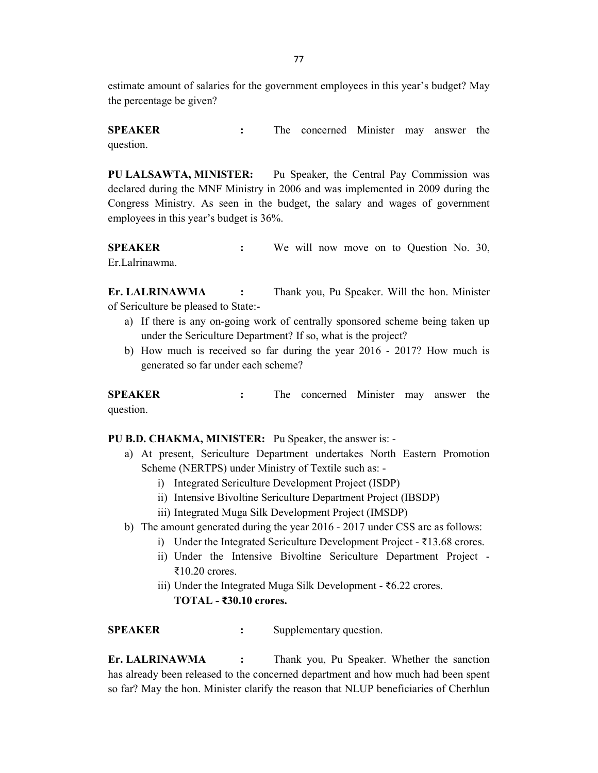estimate amount of salaries for the government employees in this year's budget? May the percentage be given?

SPEAKER : The concerned Minister may answer the question.

PU LALSAWTA, MINISTER: Pu Speaker, the Central Pay Commission was declared during the MNF Ministry in 2006 and was implemented in 2009 during the Congress Ministry. As seen in the budget, the salary and wages of government employees in this year's budget is 36%.

SPEAKER : We will now move on to Question No. 30, Er.Lalrinawma.

Er. LALRINAWMA : Thank you, Pu Speaker. Will the hon. Minister of Sericulture be pleased to State:-

- a) If there is any on-going work of centrally sponsored scheme being taken up under the Sericulture Department? If so, what is the project?
- b) How much is received so far during the year 2016 2017? How much is generated so far under each scheme?

SPEAKER : The concerned Minister may answer the question.

PU B.D. CHAKMA, MINISTER: Pu Speaker, the answer is: -

- a) At present, Sericulture Department undertakes North Eastern Promotion Scheme (NERTPS) under Ministry of Textile such as:
	- i) Integrated Sericulture Development Project (ISDP)
	- ii) Intensive Bivoltine Sericulture Department Project (IBSDP)
	- iii) Integrated Muga Silk Development Project (IMSDP)
- b) The amount generated during the year 2016 2017 under CSS are as follows:
	- i) Under the Integrated Sericulture Development Project ₹13.68 crores.
	- ii) Under the Intensive Bivoltine Sericulture Department Project ₹10.20 crores.
	- iii) Under the Integrated Muga Silk Development ₹6.22 crores. TOTAL - ₹30.10 crores.

SPEAKER : Supplementary question.

Er. LALRINAWMA : Thank you, Pu Speaker. Whether the sanction has already been released to the concerned department and how much had been spent so far? May the hon. Minister clarify the reason that NLUP beneficiaries of Cherhlun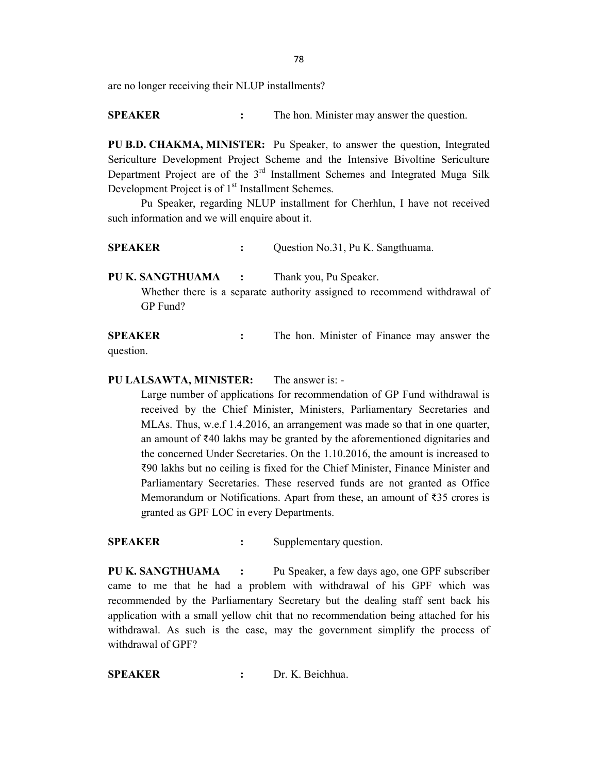are no longer receiving their NLUP installments?

SPEAKER : The hon. Minister may answer the question.

PU B.D. CHAKMA, MINISTER: Pu Speaker, to answer the question, Integrated Sericulture Development Project Scheme and the Intensive Bivoltine Sericulture Department Project are of the 3<sup>rd</sup> Installment Schemes and Integrated Muga Silk Development Project is of 1<sup>st</sup> Installment Schemes.

 Pu Speaker, regarding NLUP installment for Cherhlun, I have not received such information and we will enquire about it.

SPEAKER : Question No.31, Pu K. Sangthuama.

PU K. SANGTHUAMA : Thank you, Pu Speaker.

 Whether there is a separate authority assigned to recommend withdrawal of GP Fund?

SPEAKER : The hon. Minister of Finance may answer the question.

#### PU LALSAWTA, MINISTER: The answer is: -

Large number of applications for recommendation of GP Fund withdrawal is received by the Chief Minister, Ministers, Parliamentary Secretaries and MLAs. Thus, w.e.f 1.4.2016, an arrangement was made so that in one quarter, an amount of ₹40 lakhs may be granted by the aforementioned dignitaries and the concerned Under Secretaries. On the 1.10.2016, the amount is increased to ₹90 lakhs but no ceiling is fixed for the Chief Minister, Finance Minister and Parliamentary Secretaries. These reserved funds are not granted as Office Memorandum or Notifications. Apart from these, an amount of ₹35 crores is granted as GPF LOC in every Departments.

SPEAKER : Supplementary question.

PU K. SANGTHUAMA : Pu Speaker, a few days ago, one GPF subscriber came to me that he had a problem with withdrawal of his GPF which was recommended by the Parliamentary Secretary but the dealing staff sent back his application with a small yellow chit that no recommendation being attached for his withdrawal. As such is the case, may the government simplify the process of withdrawal of GPF?

SPEAKER : Dr. K. Beichhua.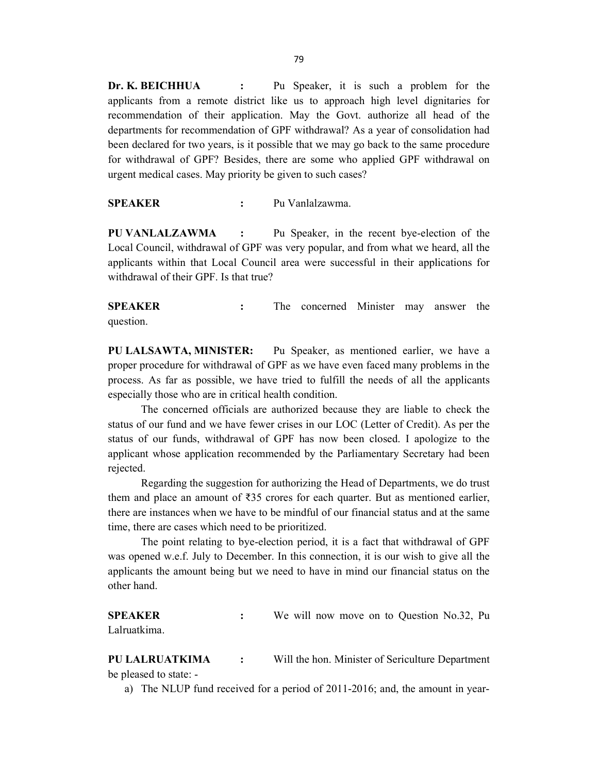Dr. K. BEICHHUA : Pu Speaker, it is such a problem for the applicants from a remote district like us to approach high level dignitaries for recommendation of their application. May the Govt. authorize all head of the departments for recommendation of GPF withdrawal? As a year of consolidation had been declared for two years, is it possible that we may go back to the same procedure for withdrawal of GPF? Besides, there are some who applied GPF withdrawal on urgent medical cases. May priority be given to such cases?

SPEAKER : Pu Vanlalzawma.

PU VANLALZAWMA : Pu Speaker, in the recent bye-election of the Local Council, withdrawal of GPF was very popular, and from what we heard, all the applicants within that Local Council area were successful in their applications for withdrawal of their GPF. Is that true?

**SPEAKER** : The concerned Minister may answer the question.

PU LALSAWTA, MINISTER: Pu Speaker, as mentioned earlier, we have a proper procedure for withdrawal of GPF as we have even faced many problems in the process. As far as possible, we have tried to fulfill the needs of all the applicants especially those who are in critical health condition.

 The concerned officials are authorized because they are liable to check the status of our fund and we have fewer crises in our LOC (Letter of Credit). As per the status of our funds, withdrawal of GPF has now been closed. I apologize to the applicant whose application recommended by the Parliamentary Secretary had been rejected.

 Regarding the suggestion for authorizing the Head of Departments, we do trust them and place an amount of  $\overline{335}$  crores for each quarter. But as mentioned earlier, there are instances when we have to be mindful of our financial status and at the same time, there are cases which need to be prioritized.

 The point relating to bye-election period, it is a fact that withdrawal of GPF was opened w.e.f. July to December. In this connection, it is our wish to give all the applicants the amount being but we need to have in mind our financial status on the other hand.

SPEAKER : We will now move on to Question No.32, Pu Lalruatkima.

PU LALRUATKIMA : Will the hon. Minister of Sericulture Department be pleased to state: -

a) The NLUP fund received for a period of 2011-2016; and, the amount in year-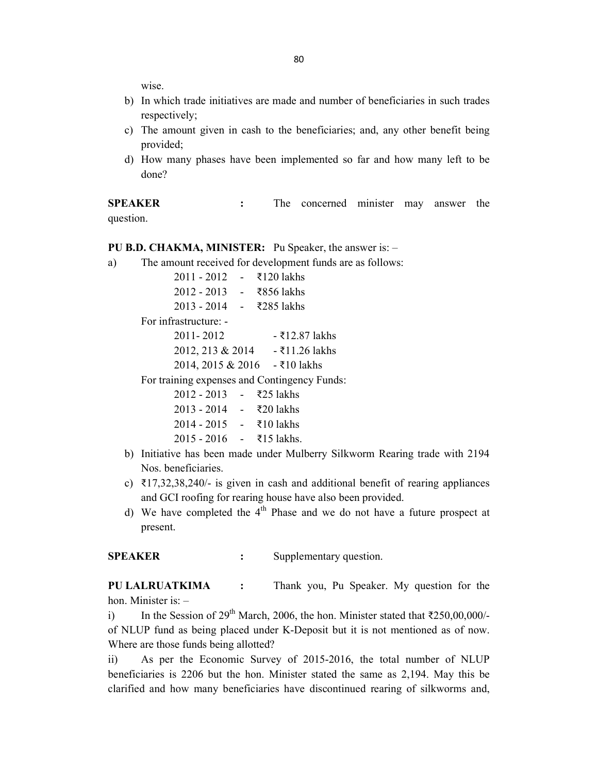wise.

- b) In which trade initiatives are made and number of beneficiaries in such trades respectively;
- c) The amount given in cash to the beneficiaries; and, any other benefit being provided;
- d) How many phases have been implemented so far and how many left to be done?

SPEAKER : The concerned minister may answer the question.

#### PU B.D. CHAKMA, MINISTER: Pu Speaker, the answer is: –

a) The amount received for development funds are as follows:

| $2011 - 2012$ - ₹120 lakhs |  |
|----------------------------|--|
| $2012 - 2013$ − ₹856 lakhs |  |
| $2013 - 2014$ - ₹285 lakhs |  |

For infrastructure: -

| 2011-2012                        | - ₹12.87 lakhs |
|----------------------------------|----------------|
| 2012, 213 & 2014                 | - ₹11.26 lakhs |
| $2014, 2015 \& 2016$ - ₹10 lakhs |                |

For training expenses and Contingency Funds:

| $2012 - 2013$ - ₹25 lakhs  |  |
|----------------------------|--|
| $2013 - 2014$ - ₹20 lakhs  |  |
| $2014 - 2015 - 10$ lakhs   |  |
| $2015 - 2016$ - ₹15 lakhs. |  |

- b) Initiative has been made under Mulberry Silkworm Rearing trade with 2194 Nos. beneficiaries.
- c)  $\bar{\tau}$ 17,32,38,240/- is given in cash and additional benefit of rearing appliances and GCI roofing for rearing house have also been provided.
- d) We have completed the  $4<sup>th</sup>$  Phase and we do not have a future prospect at present.

SPEAKER : Supplementary question.

PU LALRUATKIMA : Thank you, Pu Speaker. My question for the hon. Minister is: –

i) In the Session of 29<sup>th</sup> March, 2006, the hon. Minister stated that  $\overline{\text{5250,00,000}}$ of NLUP fund as being placed under K-Deposit but it is not mentioned as of now. Where are those funds being allotted?

ii) As per the Economic Survey of 2015-2016, the total number of NLUP beneficiaries is 2206 but the hon. Minister stated the same as 2,194. May this be clarified and how many beneficiaries have discontinued rearing of silkworms and,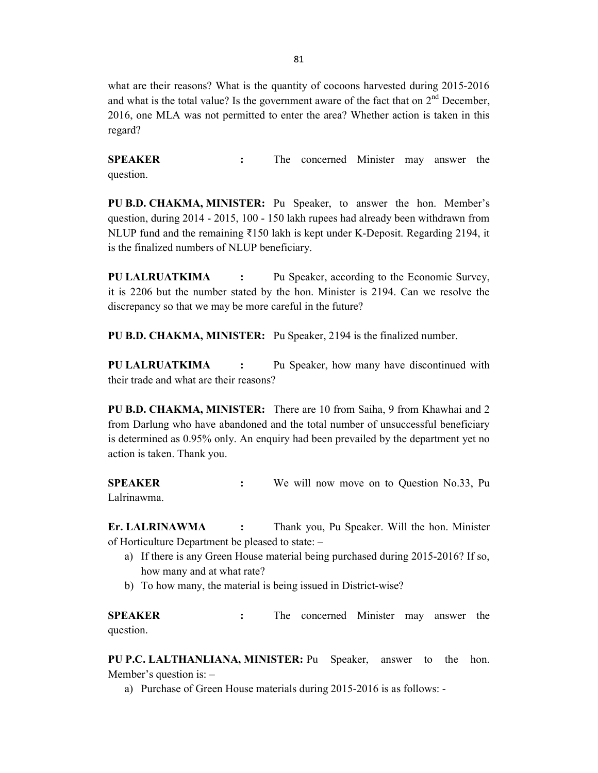what are their reasons? What is the quantity of cocoons harvested during 2015-2016 and what is the total value? Is the government aware of the fact that on  $2<sup>nd</sup>$  December. 2016, one MLA was not permitted to enter the area? Whether action is taken in this regard?

**SPEAKER** : The concerned Minister may answer the question.

PU B.D. CHAKMA, MINISTER: Pu Speaker, to answer the hon. Member's question, during 2014 - 2015, 100 - 150 lakh rupees had already been withdrawn from NLUP fund and the remaining ₹150 lakh is kept under K-Deposit. Regarding 2194, it is the finalized numbers of NLUP beneficiary.

PU LALRUATKIMA : Pu Speaker, according to the Economic Survey, it is 2206 but the number stated by the hon. Minister is 2194. Can we resolve the discrepancy so that we may be more careful in the future?

PU B.D. CHAKMA, MINISTER: Pu Speaker, 2194 is the finalized number.

PU LALRUATKIMA : Pu Speaker, how many have discontinued with their trade and what are their reasons?

PU B.D. CHAKMA, MINISTER: There are 10 from Saiha, 9 from Khawhai and 2 from Darlung who have abandoned and the total number of unsuccessful beneficiary is determined as 0.95% only. An enquiry had been prevailed by the department yet no action is taken. Thank you.

SPEAKER : We will now move on to Question No.33, Pu Lalrinawma.

Er. LALRINAWMA : Thank you, Pu Speaker. Will the hon. Minister of Horticulture Department be pleased to state: –

- a) If there is any Green House material being purchased during 2015-2016? If so, how many and at what rate?
- b) To how many, the material is being issued in District-wise?

SPEAKER : The concerned Minister may answer the question.

PU P.C. LALTHANLIANA, MINISTER: Pu Speaker, answer to the hon. Member's question is: –

a) Purchase of Green House materials during 2015-2016 is as follows: -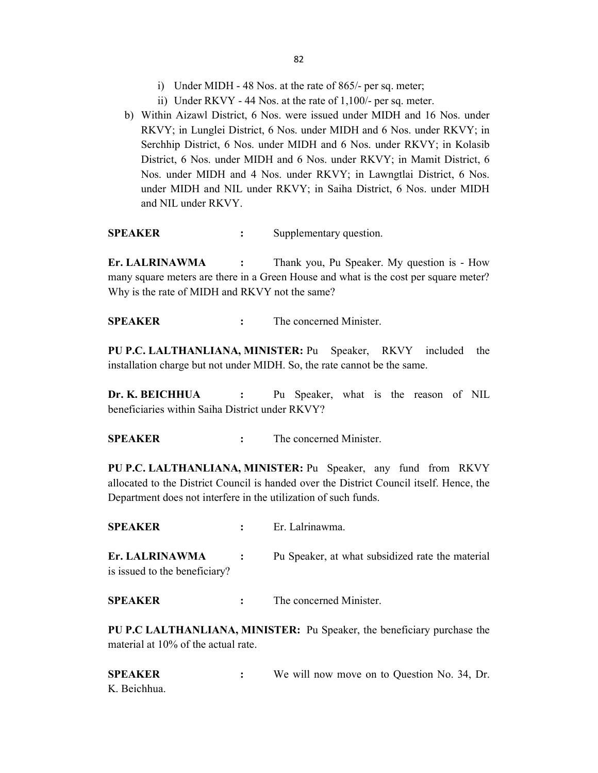- i) Under MIDH 48 Nos. at the rate of 865/- per sq. meter;
- ii) Under RKVY 44 Nos. at the rate of 1,100/- per sq. meter.
- b) Within Aizawl District, 6 Nos. were issued under MIDH and 16 Nos. under RKVY; in Lunglei District, 6 Nos. under MIDH and 6 Nos. under RKVY; in Serchhip District, 6 Nos. under MIDH and 6 Nos. under RKVY; in Kolasib District, 6 Nos. under MIDH and 6 Nos. under RKVY; in Mamit District, 6 Nos. under MIDH and 4 Nos. under RKVY; in Lawngtlai District, 6 Nos. under MIDH and NIL under RKVY; in Saiha District, 6 Nos. under MIDH and NIL under RKVY.

SPEAKER : Supplementary question.

Er. LALRINAWMA : Thank you, Pu Speaker. My question is - How many square meters are there in a Green House and what is the cost per square meter? Why is the rate of MIDH and RKVY not the same?

SPEAKER : The concerned Minister.

PU P.C. LALTHANLIANA, MINISTER: Pu Speaker, RKVY included the installation charge but not under MIDH. So, the rate cannot be the same.

Dr. K. BEICHHUA : Pu Speaker, what is the reason of NIL beneficiaries within Saiha District under RKVY?

SPEAKER : The concerned Minister.

PU P.C. LALTHANLIANA, MINISTER: Pu Speaker, any fund from RKVY allocated to the District Council is handed over the District Council itself. Hence, the Department does not interfere in the utilization of such funds.

SPEAKER : Er. Lalrinawma.

Er. LALRINAWMA : Pu Speaker, at what subsidized rate the material is issued to the beneficiary?

SPEAKER : The concerned Minister.

PU P.C LALTHANLIANA, MINISTER: Pu Speaker, the beneficiary purchase the material at 10% of the actual rate.

SPEAKER : We will now move on to Question No. 34, Dr. K. Beichhua.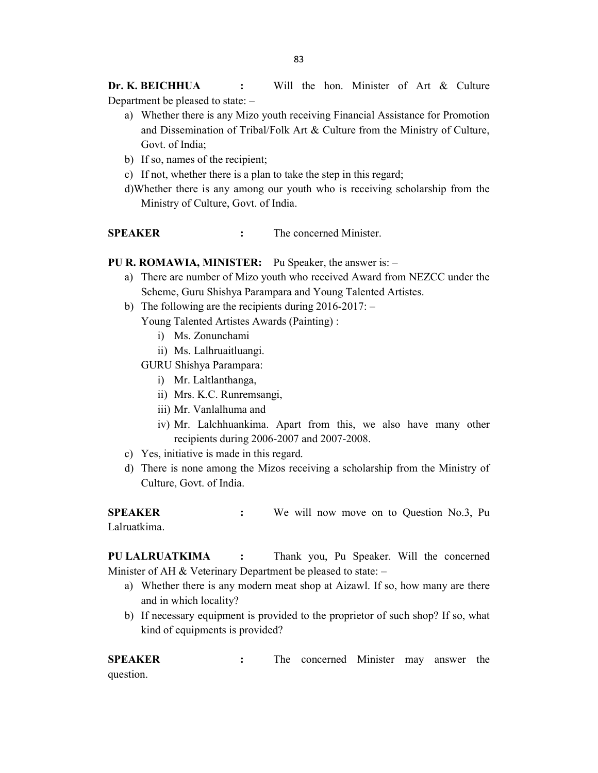Dr. K. BEICHHUA : Will the hon. Minister of Art & Culture Department be pleased to state: –

- a) Whether there is any Mizo youth receiving Financial Assistance for Promotion and Dissemination of Tribal/Folk Art & Culture from the Ministry of Culture, Govt. of India;
- b) If so, names of the recipient;
- c) If not, whether there is a plan to take the step in this regard;
- d)Whether there is any among our youth who is receiving scholarship from the Ministry of Culture, Govt. of India.

SPEAKER : The concerned Minister.

PU R. ROMAWIA, MINISTER: Pu Speaker, the answer is: -

- a) There are number of Mizo youth who received Award from NEZCC under the Scheme, Guru Shishya Parampara and Young Talented Artistes.
- b) The following are the recipients during 2016-2017: –

Young Talented Artistes Awards (Painting) :

- i) Ms. Zonunchami
- ii) Ms. Lalhruaitluangi.

GURU Shishya Parampara:

- i) Mr. Laltlanthanga,
- ii) Mrs. K.C. Runremsangi,
- iii) Mr. Vanlalhuma and
- iv) Mr. Lalchhuankima. Apart from this, we also have many other recipients during 2006-2007 and 2007-2008.
- c) Yes, initiative is made in this regard.
- d) There is none among the Mizos receiving a scholarship from the Ministry of Culture, Govt. of India.

SPEAKER : We will now move on to Question No.3, Pu Lalruatkima.

PU LALRUATKIMA : Thank you, Pu Speaker. Will the concerned Minister of AH  $&$  Veterinary Department be pleased to state:  $-$ 

- a) Whether there is any modern meat shop at Aizawl. If so, how many are there and in which locality?
- b) If necessary equipment is provided to the proprietor of such shop? If so, what kind of equipments is provided?

SPEAKER : The concerned Minister may answer the question.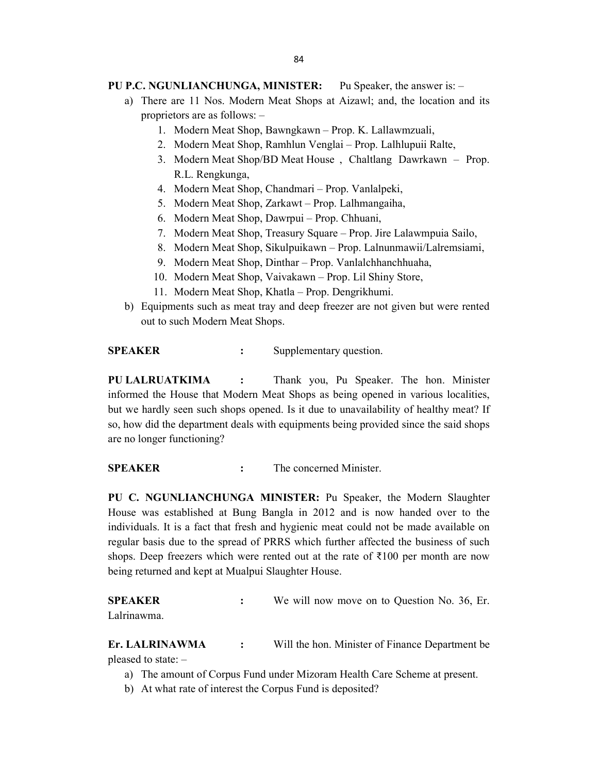### PU P.C. NGUNLIANCHUNGA, MINISTER: Pu Speaker, the answer is: -

- a) There are 11 Nos. Modern Meat Shops at Aizawl; and, the location and its proprietors are as follows: –
	- 1. Modern Meat Shop, Bawngkawn Prop. K. Lallawmzuali,
	- 2. Modern Meat Shop, Ramhlun Venglai Prop. Lalhlupuii Ralte,
	- 3. Modern Meat Shop/BD Meat House , Chaltlang Dawrkawn Prop. R.L. Rengkunga,
	- 4. Modern Meat Shop, Chandmari Prop. Vanlalpeki,
	- 5. Modern Meat Shop, Zarkawt Prop. Lalhmangaiha,
	- 6. Modern Meat Shop, Dawrpui Prop. Chhuani,
	- 7. Modern Meat Shop, Treasury Square Prop. Jire Lalawmpuia Sailo,
	- 8. Modern Meat Shop, Sikulpuikawn Prop. Lalnunmawii/Lalremsiami,
	- 9. Modern Meat Shop, Dinthar Prop. Vanlalchhanchhuaha,
	- 10. Modern Meat Shop, Vaivakawn Prop. Lil Shiny Store,
	- 11. Modern Meat Shop, Khatla Prop. Dengrikhumi.
- b) Equipments such as meat tray and deep freezer are not given but were rented out to such Modern Meat Shops.

SPEAKER : Supplementary question.

PU LALRUATKIMA : Thank you, Pu Speaker. The hon. Minister informed the House that Modern Meat Shops as being opened in various localities, but we hardly seen such shops opened. Is it due to unavailability of healthy meat? If so, how did the department deals with equipments being provided since the said shops are no longer functioning?

SPEAKER : The concerned Minister.

PU C. NGUNLIANCHUNGA MINISTER: Pu Speaker, the Modern Slaughter House was established at Bung Bangla in 2012 and is now handed over to the individuals. It is a fact that fresh and hygienic meat could not be made available on regular basis due to the spread of PRRS which further affected the business of such shops. Deep freezers which were rented out at the rate of  $\bar{\tau}100$  per month are now being returned and kept at Mualpui Slaughter House.

SPEAKER : We will now move on to Question No. 36, Er. Lalrinawma.

Er. LALRINAWMA : Will the hon. Minister of Finance Department be pleased to state: –

- a) The amount of Corpus Fund under Mizoram Health Care Scheme at present.
- b) At what rate of interest the Corpus Fund is deposited?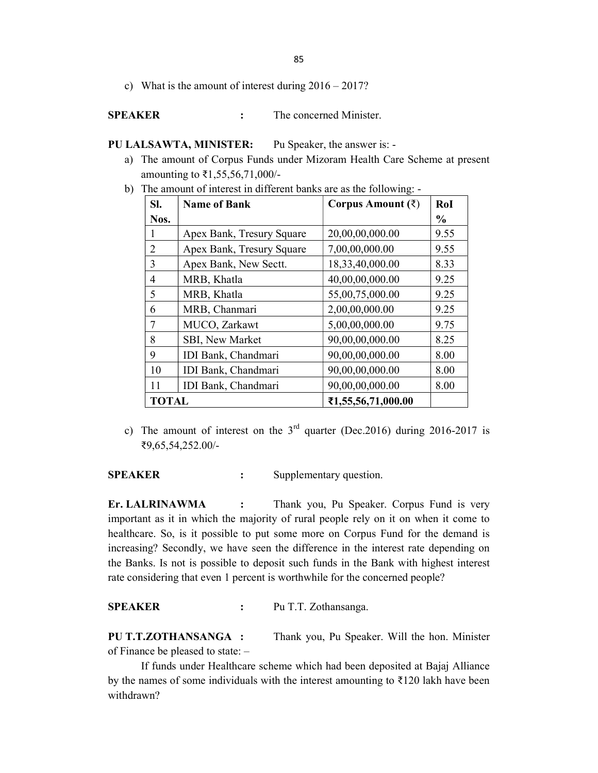85

c) What is the amount of interest during 2016 – 2017?

#### SPEAKER : The concerned Minister.

PU LALSAWTA, MINISTER: Pu Speaker, the answer is: -

a) The amount of Corpus Funds under Mizoram Health Care Scheme at present amounting to ₹1,55,56,71,000/-

| SI.            | <b>Name of Bank</b>       | Corpus Amount $(\bar{\zeta})$ | RoI           |
|----------------|---------------------------|-------------------------------|---------------|
| Nos.           |                           |                               | $\frac{0}{0}$ |
| 1              | Apex Bank, Tresury Square | 20,00,00,000.00               | 9.55          |
| $\overline{2}$ | Apex Bank, Tresury Square | 7,00,00,000.00                | 9.55          |
| 3              | Apex Bank, New Sectt.     | 18,33,40,000.00               | 8.33          |
| 4              | MRB, Khatla               | 40,00,00,000.00               | 9.25          |
| 5              | MRB, Khatla               | 55,00,75,000.00               | 9.25          |
| 6              | MRB, Chanmari             | 2,00,00,000.00                | 9.25          |
| 7              | MUCO, Zarkawt             | 5,00,00,000.00                | 9.75          |
| 8              | SBI, New Market           | 90,00,00,000.00               | 8.25          |
| 9              | IDI Bank, Chandmari       | 90,00,00,000.00               | 8.00          |
| 10             | IDI Bank, Chandmari       | 90,00,00,000.00               | 8.00          |
| 11             | IDI Bank, Chandmari       | 90,00,00,000.00               | 8.00          |
| <b>TOTAL</b>   |                           | ₹1,55,56,71,000.00            |               |

b) The amount of interest in different banks are as the following: -

c) The amount of interest on the  $3<sup>rd</sup>$  quarter (Dec.2016) during 2016-2017 is ₹9,65,54,252.00/-

SPEAKER : Supplementary question.

Er. LALRINAWMA : Thank you, Pu Speaker. Corpus Fund is very important as it in which the majority of rural people rely on it on when it come to healthcare. So, is it possible to put some more on Corpus Fund for the demand is increasing? Secondly, we have seen the difference in the interest rate depending on the Banks. Is not is possible to deposit such funds in the Bank with highest interest rate considering that even 1 percent is worthwhile for the concerned people?

### SPEAKER : Pu T.T. Zothansanga.

PU T.T.ZOTHANSANGA : Thank you, Pu Speaker. Will the hon. Minister of Finance be pleased to state: –

 If funds under Healthcare scheme which had been deposited at Bajaj Alliance by the names of some individuals with the interest amounting to  $\overline{\xi}$ 120 lakh have been withdrawn?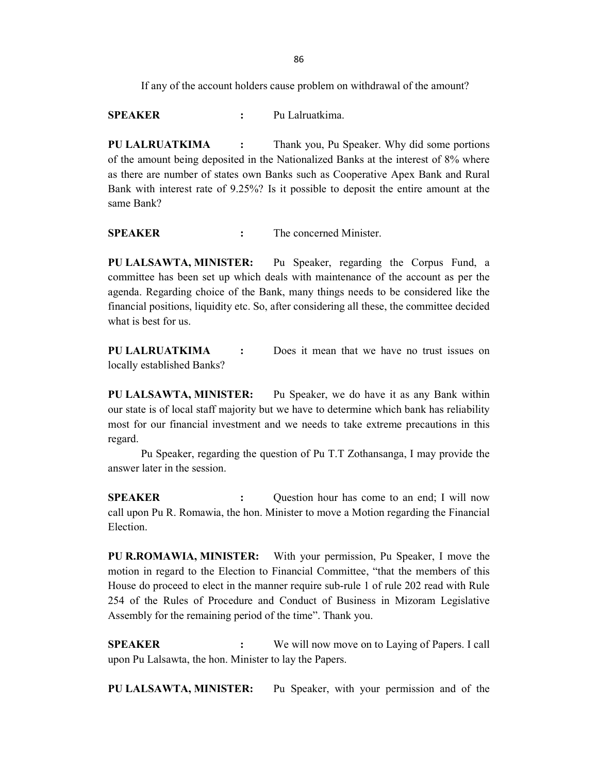If any of the account holders cause problem on withdrawal of the amount?

SPEAKER : Pu Lalruatkima.

PU LALRUATKIMA : Thank you, Pu Speaker. Why did some portions of the amount being deposited in the Nationalized Banks at the interest of 8% where as there are number of states own Banks such as Cooperative Apex Bank and Rural Bank with interest rate of 9.25%? Is it possible to deposit the entire amount at the same Bank?

SPEAKER : The concerned Minister.

PU LALSAWTA, MINISTER: Pu Speaker, regarding the Corpus Fund, a committee has been set up which deals with maintenance of the account as per the agenda. Regarding choice of the Bank, many things needs to be considered like the financial positions, liquidity etc. So, after considering all these, the committee decided what is best for us.

PU LALRUATKIMA : Does it mean that we have no trust issues on locally established Banks?

PU LALSAWTA, MINISTER: Pu Speaker, we do have it as any Bank within our state is of local staff majority but we have to determine which bank has reliability most for our financial investment and we needs to take extreme precautions in this regard.

 Pu Speaker, regarding the question of Pu T.T Zothansanga, I may provide the answer later in the session.

**SPEAKER** : Question hour has come to an end; I will now call upon Pu R. Romawia, the hon. Minister to move a Motion regarding the Financial Election.

PU R.ROMAWIA, MINISTER: With your permission, Pu Speaker, I move the motion in regard to the Election to Financial Committee, "that the members of this House do proceed to elect in the manner require sub-rule 1 of rule 202 read with Rule 254 of the Rules of Procedure and Conduct of Business in Mizoram Legislative Assembly for the remaining period of the time". Thank you.

SPEAKER : We will now move on to Laying of Papers. I call upon Pu Lalsawta, the hon. Minister to lay the Papers.

PU LALSAWTA, MINISTER: Pu Speaker, with your permission and of the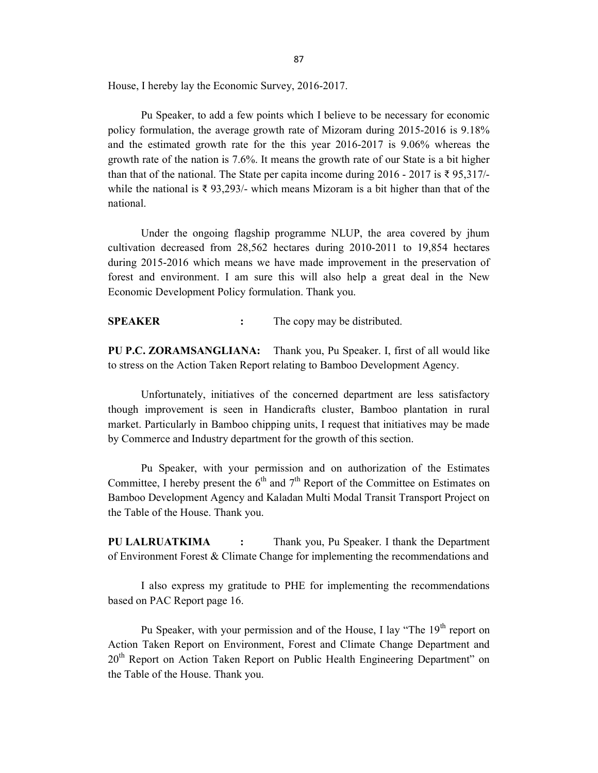House, I hereby lay the Economic Survey, 2016-2017.

 Pu Speaker, to add a few points which I believe to be necessary for economic policy formulation, the average growth rate of Mizoram during 2015-2016 is 9.18% and the estimated growth rate for the this year 2016-2017 is 9.06% whereas the growth rate of the nation is 7.6%. It means the growth rate of our State is a bit higher than that of the national. The State per capita income during 2016 - 2017 is  $\bar{\xi}$  95,317/while the national is ₹ 93,293/- which means Mizoram is a bit higher than that of the national.

 Under the ongoing flagship programme NLUP, the area covered by jhum cultivation decreased from 28,562 hectares during 2010-2011 to 19,854 hectares during 2015-2016 which means we have made improvement in the preservation of forest and environment. I am sure this will also help a great deal in the New Economic Development Policy formulation. Thank you.

SPEAKER : The copy may be distributed.

PU P.C. ZORAMSANGLIANA: Thank you, Pu Speaker. I, first of all would like to stress on the Action Taken Report relating to Bamboo Development Agency.

 Unfortunately, initiatives of the concerned department are less satisfactory though improvement is seen in Handicrafts cluster, Bamboo plantation in rural market. Particularly in Bamboo chipping units, I request that initiatives may be made by Commerce and Industry department for the growth of this section.

 Pu Speaker, with your permission and on authorization of the Estimates Committee, I hereby present the  $6<sup>th</sup>$  and  $7<sup>th</sup>$  Report of the Committee on Estimates on Bamboo Development Agency and Kaladan Multi Modal Transit Transport Project on the Table of the House. Thank you.

PU LALRUATKIMA : Thank you, Pu Speaker. I thank the Department of Environment Forest & Climate Change for implementing the recommendations and

 I also express my gratitude to PHE for implementing the recommendations based on PAC Report page 16.

Pu Speaker, with your permission and of the House, I lay "The  $19<sup>th</sup>$  report on Action Taken Report on Environment, Forest and Climate Change Department and 20<sup>th</sup> Report on Action Taken Report on Public Health Engineering Department" on the Table of the House. Thank you.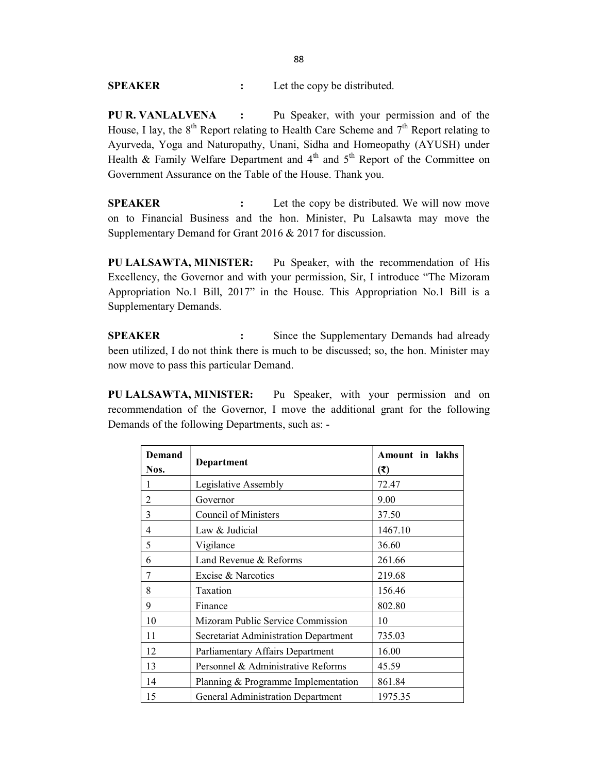SPEAKER : Let the copy be distributed.

PU R. VANLALVENA : Pu Speaker, with your permission and of the House, I lay, the  $8<sup>th</sup>$  Report relating to Health Care Scheme and  $7<sup>th</sup>$  Report relating to Ayurveda, Yoga and Naturopathy, Unani, Sidha and Homeopathy (AYUSH) under Health & Family Welfare Department and  $4<sup>th</sup>$  and  $5<sup>th</sup>$  Report of the Committee on Government Assurance on the Table of the House. Thank you.

SPEAKER : Let the copy be distributed. We will now move on to Financial Business and the hon. Minister, Pu Lalsawta may move the Supplementary Demand for Grant 2016 & 2017 for discussion.

PU LALSAWTA, MINISTER: Pu Speaker, with the recommendation of His Excellency, the Governor and with your permission, Sir, I introduce "The Mizoram Appropriation No.1 Bill, 2017" in the House. This Appropriation No.1 Bill is a Supplementary Demands.

SPEAKER : Since the Supplementary Demands had already been utilized, I do not think there is much to be discussed; so, the hon. Minister may now move to pass this particular Demand.

PU LALSAWTA, MINISTER: Pu Speaker, with your permission and on recommendation of the Governor, I move the additional grant for the following Demands of the following Departments, such as: -

| Demand<br>Nos. | Department                               | <b>Amount in lakhs</b><br>(₹) |
|----------------|------------------------------------------|-------------------------------|
| 1              | Legislative Assembly                     | 72.47                         |
| 2              | Governor                                 | 9.00                          |
| 3              | Council of Ministers                     | 37.50                         |
| 4              | Law & Judicial                           | 1467.10                       |
| 5              | Vigilance                                | 36.60                         |
| 6              | Land Revenue & Reforms                   | 261.66                        |
| 7              | Excise & Narcotics                       | 219.68                        |
| 8              | Taxation                                 | 156.46                        |
| 9              | Finance                                  | 802.80                        |
| 10             | Mizoram Public Service Commission        | 10                            |
| 11             | Secretariat Administration Department    | 735.03                        |
| 12             | Parliamentary Affairs Department         | 16.00                         |
| 13             | Personnel & Administrative Reforms       | 45.59                         |
| 14             | Planning & Programme Implementation      | 861.84                        |
| 15             | <b>General Administration Department</b> | 1975.35                       |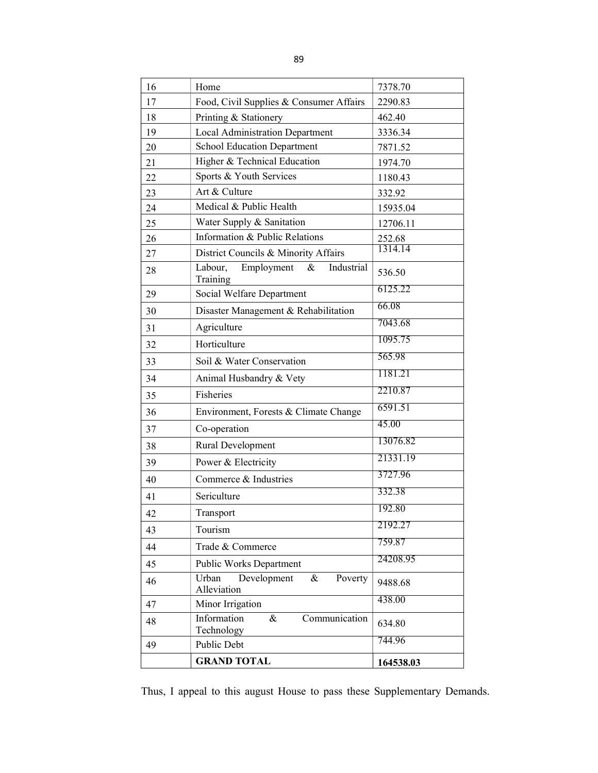| 16 | Home                                                 | 7378.70                  |  |  |  |
|----|------------------------------------------------------|--------------------------|--|--|--|
| 17 | Food, Civil Supplies & Consumer Affairs              | 2290.83                  |  |  |  |
| 18 | Printing & Stationery                                | 462.40                   |  |  |  |
| 19 | Local Administration Department                      | 3336.34                  |  |  |  |
| 20 | <b>School Education Department</b>                   | 7871.52                  |  |  |  |
| 21 | Higher & Technical Education                         | 1974.70                  |  |  |  |
| 22 | Sports & Youth Services                              | 1180.43                  |  |  |  |
| 23 | Art & Culture                                        | 332.92                   |  |  |  |
| 24 | Medical & Public Health                              | 15935.04                 |  |  |  |
| 25 | Water Supply & Sanitation                            | 12706.11                 |  |  |  |
| 26 | Information & Public Relations                       | $\frac{252.68}{1314.14}$ |  |  |  |
| 27 | District Councils & Minority Affairs                 |                          |  |  |  |
| 28 | Labour,<br>&<br>Industrial<br>Employment<br>Training | 536.50                   |  |  |  |
| 29 | Social Welfare Department                            | 6125.22                  |  |  |  |
| 30 | Disaster Management & Rehabilitation                 | 66.08                    |  |  |  |
| 31 | Agriculture                                          | 7043.68                  |  |  |  |
| 32 | Horticulture                                         | 1095.75                  |  |  |  |
| 33 | Soil & Water Conservation                            | 565.98                   |  |  |  |
| 34 | Animal Husbandry & Vety                              | 1181.21                  |  |  |  |
| 35 | Fisheries                                            | 2210.87                  |  |  |  |
| 36 | Environment, Forests & Climate Change                | 6591.51                  |  |  |  |
| 37 | Co-operation                                         | 45.00                    |  |  |  |
| 38 | Rural Development                                    | 13076.82                 |  |  |  |
| 39 | Power & Electricity                                  | 21331.19                 |  |  |  |
| 40 | Commerce & Industries                                | 3727.96                  |  |  |  |
| 41 | Sericulture                                          | 332.38                   |  |  |  |
| 42 | Transport                                            | 192.80                   |  |  |  |
| 43 | Tourism                                              | 2192.27                  |  |  |  |
| 44 | Trade & Commerce                                     | 759.87                   |  |  |  |
| 45 | Public Works Department                              | 24208.95                 |  |  |  |
| 46 | Urban<br>Development<br>&<br>Poverty<br>Alleviation  | 9488.68                  |  |  |  |
| 47 | Minor Irrigation                                     | 438.00                   |  |  |  |
| 48 | Information<br>$\&$<br>Communication<br>Technology   | 634.80                   |  |  |  |
| 49 | Public Debt                                          | 744.96                   |  |  |  |
|    | <b>GRAND TOTAL</b>                                   | 164538.03                |  |  |  |

Thus, I appeal to this august House to pass these Supplementary Demands.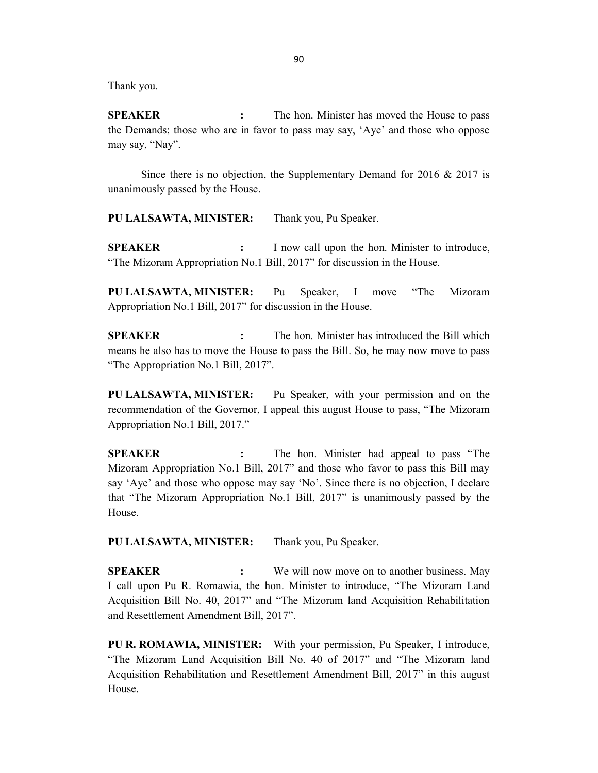Thank you.

SPEAKER : The hon. Minister has moved the House to pass the Demands; those who are in favor to pass may say, 'Aye' and those who oppose may say, "Nay".

 Since there is no objection, the Supplementary Demand for 2016 & 2017 is unanimously passed by the House.

PU LALSAWTA, MINISTER: Thank you, Pu Speaker.

SPEAKER : I now call upon the hon. Minister to introduce, "The Mizoram Appropriation No.1 Bill, 2017" for discussion in the House.

PU LALSAWTA, MINISTER: Pu Speaker, I move "The Mizoram Appropriation No.1 Bill, 2017" for discussion in the House.

SPEAKER : The hon. Minister has introduced the Bill which means he also has to move the House to pass the Bill. So, he may now move to pass "The Appropriation No.1 Bill, 2017".

PU LALSAWTA, MINISTER: Pu Speaker, with your permission and on the recommendation of the Governor, I appeal this august House to pass, "The Mizoram Appropriation No.1 Bill, 2017."

SPEAKER : The hon. Minister had appeal to pass "The Mizoram Appropriation No.1 Bill, 2017" and those who favor to pass this Bill may say 'Aye' and those who oppose may say 'No'. Since there is no objection, I declare that "The Mizoram Appropriation No.1 Bill, 2017" is unanimously passed by the House.

PU LALSAWTA, MINISTER: Thank you, Pu Speaker.

SPEAKER : We will now move on to another business. May I call upon Pu R. Romawia, the hon. Minister to introduce, "The Mizoram Land Acquisition Bill No. 40, 2017" and "The Mizoram land Acquisition Rehabilitation and Resettlement Amendment Bill, 2017".

PU R. ROMAWIA, MINISTER: With your permission, Pu Speaker, I introduce, "The Mizoram Land Acquisition Bill No. 40 of 2017" and "The Mizoram land Acquisition Rehabilitation and Resettlement Amendment Bill, 2017" in this august House.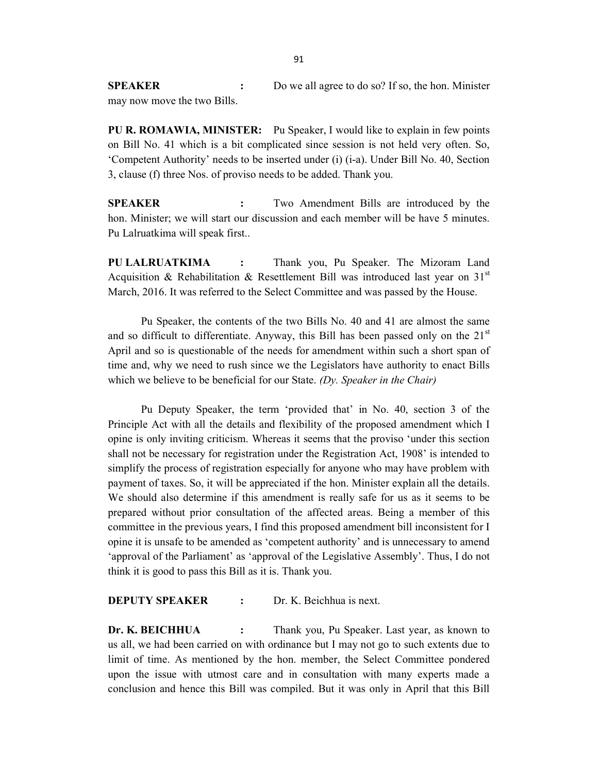SPEAKER : Do we all agree to do so? If so, the hon. Minister may now move the two Bills.

PU R. ROMAWIA, MINISTER: Pu Speaker, I would like to explain in few points on Bill No. 41 which is a bit complicated since session is not held very often. So, 'Competent Authority' needs to be inserted under (i) (i-a). Under Bill No. 40, Section 3, clause (f) three Nos. of proviso needs to be added. Thank you.

SPEAKER : Two Amendment Bills are introduced by the hon. Minister; we will start our discussion and each member will be have 5 minutes. Pu Lalruatkima will speak first..

PU LALRUATKIMA : Thank you, Pu Speaker. The Mizoram Land Acquisition & Rehabilitation & Resettlement Bill was introduced last year on 31<sup>st</sup> March, 2016. It was referred to the Select Committee and was passed by the House.

 Pu Speaker, the contents of the two Bills No. 40 and 41 are almost the same and so difficult to differentiate. Anyway, this Bill has been passed only on the  $21<sup>st</sup>$ April and so is questionable of the needs for amendment within such a short span of time and, why we need to rush since we the Legislators have authority to enact Bills which we believe to be beneficial for our State. (Dy. Speaker in the Chair)

 Pu Deputy Speaker, the term 'provided that' in No. 40, section 3 of the Principle Act with all the details and flexibility of the proposed amendment which I opine is only inviting criticism. Whereas it seems that the proviso 'under this section shall not be necessary for registration under the Registration Act, 1908' is intended to simplify the process of registration especially for anyone who may have problem with payment of taxes. So, it will be appreciated if the hon. Minister explain all the details. We should also determine if this amendment is really safe for us as it seems to be prepared without prior consultation of the affected areas. Being a member of this committee in the previous years, I find this proposed amendment bill inconsistent for I opine it is unsafe to be amended as 'competent authority' and is unnecessary to amend 'approval of the Parliament' as 'approval of the Legislative Assembly'. Thus, I do not think it is good to pass this Bill as it is. Thank you.

#### DEPUTY SPEAKER : Dr. K. Beichhua is next.

Dr. K. BEICHHUA : Thank you, Pu Speaker. Last year, as known to us all, we had been carried on with ordinance but I may not go to such extents due to limit of time. As mentioned by the hon. member, the Select Committee pondered upon the issue with utmost care and in consultation with many experts made a conclusion and hence this Bill was compiled. But it was only in April that this Bill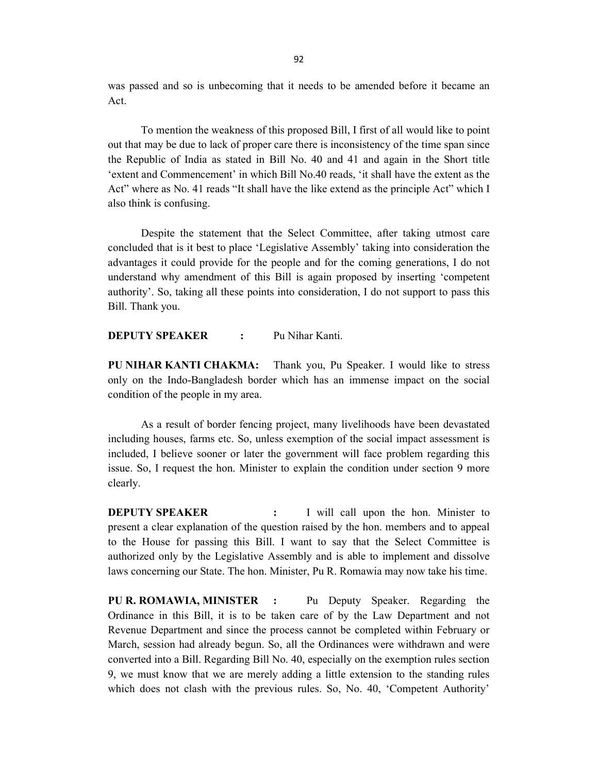was passed and so is unbecoming that it needs to be amended before it became an Act.

 To mention the weakness of this proposed Bill, I first of all would like to point out that may be due to lack of proper care there is inconsistency of the time span since the Republic of India as stated in Bill No. 40 and 41 and again in the Short title 'extent and Commencement' in which Bill No.40 reads, 'it shall have the extent as the Act" where as No. 41 reads "It shall have the like extend as the principle Act" which I also think is confusing.

 Despite the statement that the Select Committee, after taking utmost care concluded that is it best to place 'Legislative Assembly' taking into consideration the advantages it could provide for the people and for the coming generations, I do not understand why amendment of this Bill is again proposed by inserting 'competent authority'. So, taking all these points into consideration, I do not support to pass this Bill. Thank you.

**DEPUTY SPEAKER** : Pu Nihar Kanti.

PU NIHAR KANTI CHAKMA: Thank you, Pu Speaker. I would like to stress only on the Indo-Bangladesh border which has an immense impact on the social condition of the people in my area.

 As a result of border fencing project, many livelihoods have been devastated including houses, farms etc. So, unless exemption of the social impact assessment is included, I believe sooner or later the government will face problem regarding this issue. So, I request the hon. Minister to explain the condition under section 9 more clearly.

**DEPUTY SPEAKER** : I will call upon the hon. Minister to present a clear explanation of the question raised by the hon. members and to appeal to the House for passing this Bill. I want to say that the Select Committee is authorized only by the Legislative Assembly and is able to implement and dissolve laws concerning our State. The hon. Minister, Pu R. Romawia may now take his time.

PU R. ROMAWIA, MINISTER : Pu Deputy Speaker. Regarding the Ordinance in this Bill, it is to be taken care of by the Law Department and not Revenue Department and since the process cannot be completed within February or March, session had already begun. So, all the Ordinances were withdrawn and were converted into a Bill. Regarding Bill No. 40, especially on the exemption rules section 9, we must know that we are merely adding a little extension to the standing rules which does not clash with the previous rules. So, No. 40, 'Competent Authority'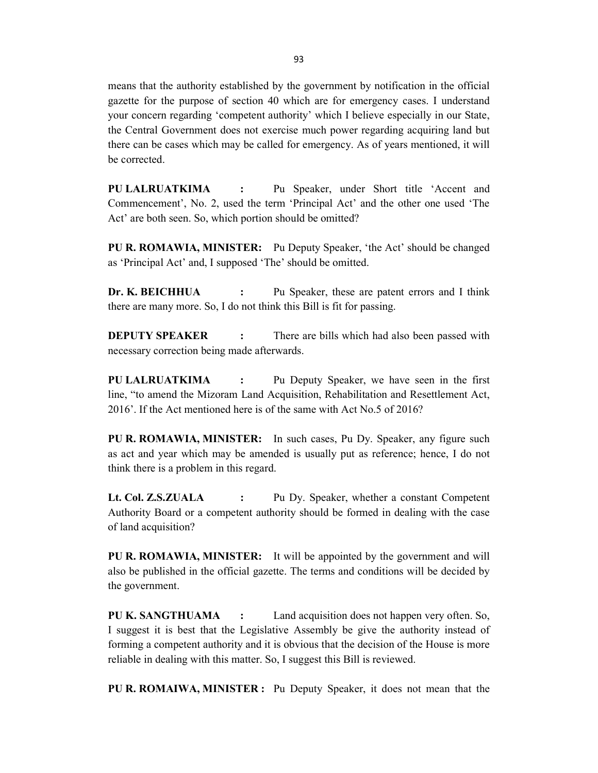means that the authority established by the government by notification in the official gazette for the purpose of section 40 which are for emergency cases. I understand your concern regarding 'competent authority' which I believe especially in our State, the Central Government does not exercise much power regarding acquiring land but there can be cases which may be called for emergency. As of years mentioned, it will be corrected.

PU LALRUATKIMA : Pu Speaker, under Short title 'Accent and Commencement', No. 2, used the term 'Principal Act' and the other one used 'The Act' are both seen. So, which portion should be omitted?

PU R. ROMAWIA, MINISTER: Pu Deputy Speaker, 'the Act' should be changed as 'Principal Act' and, I supposed 'The' should be omitted.

Dr. K. BEICHHUA : Pu Speaker, these are patent errors and I think there are many more. So, I do not think this Bill is fit for passing.

**DEPUTY SPEAKER** : There are bills which had also been passed with necessary correction being made afterwards.

PU LALRUATKIMA : Pu Deputy Speaker, we have seen in the first line, "to amend the Mizoram Land Acquisition, Rehabilitation and Resettlement Act, 2016'. If the Act mentioned here is of the same with Act No.5 of 2016?

PU R. ROMAWIA, MINISTER: In such cases, Pu Dy. Speaker, any figure such as act and year which may be amended is usually put as reference; hence, I do not think there is a problem in this regard.

Lt. Col. Z.S.ZUALA : Pu Dy. Speaker, whether a constant Competent Authority Board or a competent authority should be formed in dealing with the case of land acquisition?

PU R. ROMAWIA, MINISTER: It will be appointed by the government and will also be published in the official gazette. The terms and conditions will be decided by the government.

PU K. SANGTHUAMA : Land acquisition does not happen very often. So, I suggest it is best that the Legislative Assembly be give the authority instead of forming a competent authority and it is obvious that the decision of the House is more reliable in dealing with this matter. So, I suggest this Bill is reviewed.

PU R. ROMAIWA, MINISTER : Pu Deputy Speaker, it does not mean that the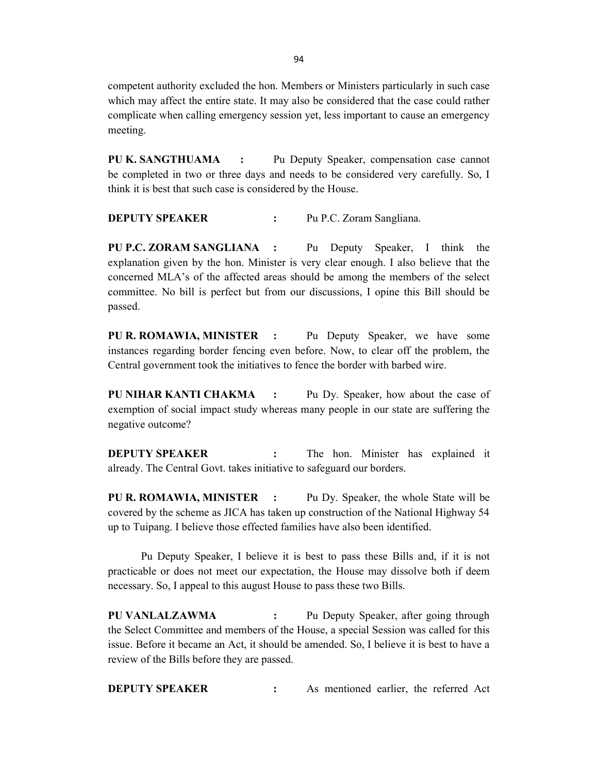competent authority excluded the hon. Members or Ministers particularly in such case which may affect the entire state. It may also be considered that the case could rather complicate when calling emergency session yet, less important to cause an emergency meeting.

PU K. SANGTHUAMA : Pu Deputy Speaker, compensation case cannot be completed in two or three days and needs to be considered very carefully. So, I think it is best that such case is considered by the House.

**DEPUTY SPEAKER :** Pu P.C. Zoram Sangliana.

PU P.C. ZORAM SANGLIANA : Pu Deputy Speaker, I think the explanation given by the hon. Minister is very clear enough. I also believe that the concerned MLA's of the affected areas should be among the members of the select committee. No bill is perfect but from our discussions, I opine this Bill should be passed.

PU R. ROMAWIA, MINISTER : Pu Deputy Speaker, we have some instances regarding border fencing even before. Now, to clear off the problem, the Central government took the initiatives to fence the border with barbed wire.

PU NIHAR KANTI CHAKMA : Pu Dy. Speaker, how about the case of exemption of social impact study whereas many people in our state are suffering the negative outcome?

**DEPUTY SPEAKER** : The hon. Minister has explained it already. The Central Govt. takes initiative to safeguard our borders.

PU R. ROMAWIA, MINISTER : Pu Dy. Speaker, the whole State will be covered by the scheme as JICA has taken up construction of the National Highway 54 up to Tuipang. I believe those effected families have also been identified.

 Pu Deputy Speaker, I believe it is best to pass these Bills and, if it is not practicable or does not meet our expectation, the House may dissolve both if deem necessary. So, I appeal to this august House to pass these two Bills.

PU VANLALZAWMA : Pu Deputy Speaker, after going through the Select Committee and members of the House, a special Session was called for this issue. Before it became an Act, it should be amended. So, I believe it is best to have a review of the Bills before they are passed.

**DEPUTY SPEAKER** : As mentioned earlier, the referred Act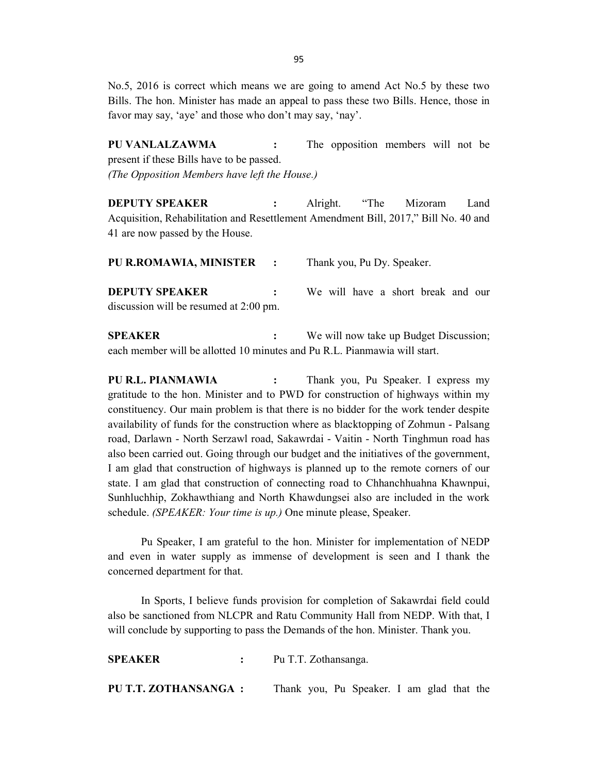No.5, 2016 is correct which means we are going to amend Act No.5 by these two Bills. The hon. Minister has made an appeal to pass these two Bills. Hence, those in favor may say, 'aye' and those who don't may say, 'nay'.

PU VANLALZAWMA : The opposition members will not be present if these Bills have to be passed. (The Opposition Members have left the House.)

**DEPUTY SPEAKER :** Alright. "The Mizoram Land Acquisition, Rehabilitation and Resettlement Amendment Bill, 2017," Bill No. 40 and 41 are now passed by the House.

| <b>PU R.ROMAWIA, MINISTER :</b> Thank you, Pu Dy. Speaker.      |  |  |  |  |                                      |  |
|-----------------------------------------------------------------|--|--|--|--|--------------------------------------|--|
| <b>DEPUTY SPEAKER</b><br>discussion will be resumed at 2:00 pm. |  |  |  |  | : We will have a short break and our |  |
|                                                                 |  |  |  |  |                                      |  |

**SPEAKER** : We will now take up Budget Discussion; each member will be allotted 10 minutes and Pu R.L. Pianmawia will start.

PU R.L. PIANMAWIA : Thank you, Pu Speaker. I express my gratitude to the hon. Minister and to PWD for construction of highways within my constituency. Our main problem is that there is no bidder for the work tender despite availability of funds for the construction where as blacktopping of Zohmun - Palsang road, Darlawn - North Serzawl road, Sakawrdai - Vaitin - North Tinghmun road has also been carried out. Going through our budget and the initiatives of the government, I am glad that construction of highways is planned up to the remote corners of our state. I am glad that construction of connecting road to Chhanchhuahna Khawnpui, Sunhluchhip, Zokhawthiang and North Khawdungsei also are included in the work schedule. (SPEAKER: Your time is up.) One minute please, Speaker.

 Pu Speaker, I am grateful to the hon. Minister for implementation of NEDP and even in water supply as immense of development is seen and I thank the concerned department for that.

 In Sports, I believe funds provision for completion of Sakawrdai field could also be sanctioned from NLCPR and Ratu Community Hall from NEDP. With that, I will conclude by supporting to pass the Demands of the hon. Minister. Thank you.

SPEAKER : Pu T.T. Zothansanga. PU T.T. ZOTHANSANGA : Thank you, Pu Speaker. I am glad that the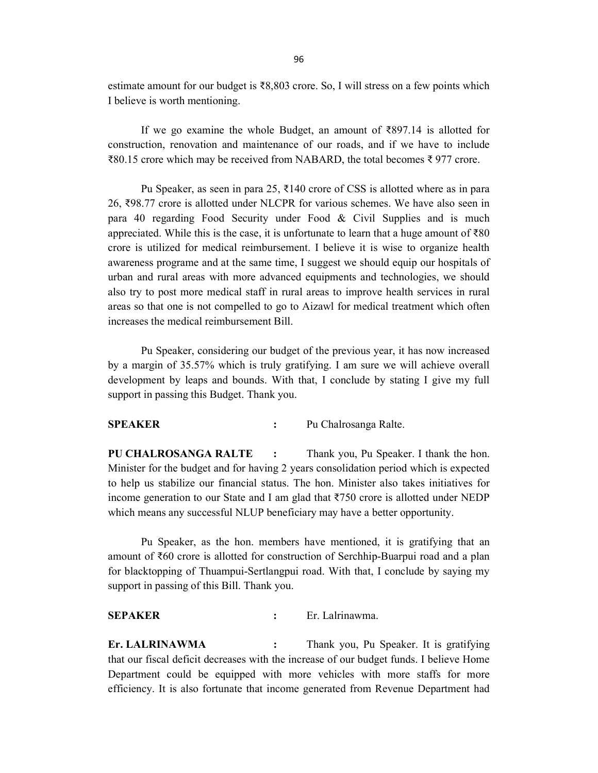estimate amount for our budget is ₹8,803 crore. So, I will stress on a few points which I believe is worth mentioning.

 If we go examine the whole Budget, an amount of ₹897.14 is allotted for construction, renovation and maintenance of our roads, and if we have to include ₹80.15 crore which may be received from NABARD, the total becomes ₹ 977 crore.

Pu Speaker, as seen in para 25, ₹140 crore of CSS is allotted where as in para 26, ₹98.77 crore is allotted under NLCPR for various schemes. We have also seen in para 40 regarding Food Security under Food & Civil Supplies and is much appreciated. While this is the case, it is unfortunate to learn that a huge amount of ₹80 crore is utilized for medical reimbursement. I believe it is wise to organize health awareness programe and at the same time, I suggest we should equip our hospitals of urban and rural areas with more advanced equipments and technologies, we should also try to post more medical staff in rural areas to improve health services in rural areas so that one is not compelled to go to Aizawl for medical treatment which often increases the medical reimbursement Bill.

 Pu Speaker, considering our budget of the previous year, it has now increased by a margin of 35.57% which is truly gratifying. I am sure we will achieve overall development by leaps and bounds. With that, I conclude by stating I give my full support in passing this Budget. Thank you.

### SPEAKER : Pu Chalrosanga Ralte.

PU CHALROSANGA RALTE : Thank you, Pu Speaker. I thank the hon. Minister for the budget and for having 2 years consolidation period which is expected to help us stabilize our financial status. The hon. Minister also takes initiatives for income generation to our State and I am glad that ₹750 crore is allotted under NEDP which means any successful NLUP beneficiary may have a better opportunity.

 Pu Speaker, as the hon. members have mentioned, it is gratifying that an amount of ₹60 crore is allotted for construction of Serchhip-Buarpui road and a plan for blacktopping of Thuampui-Sertlangpui road. With that, I conclude by saying my support in passing of this Bill. Thank you.

SEPAKER : Er. Lalrinawma.

Er. LALRINAWMA : Thank you, Pu Speaker. It is gratifying that our fiscal deficit decreases with the increase of our budget funds. I believe Home Department could be equipped with more vehicles with more staffs for more efficiency. It is also fortunate that income generated from Revenue Department had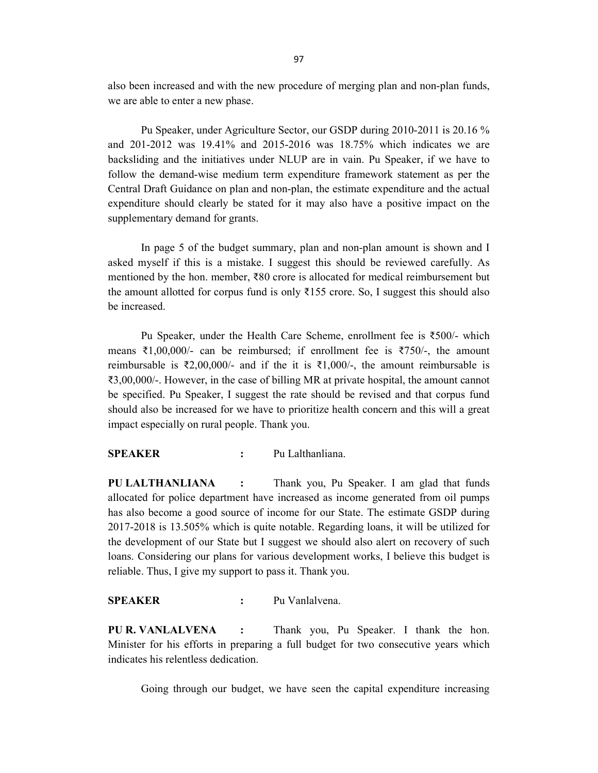also been increased and with the new procedure of merging plan and non-plan funds, we are able to enter a new phase.

 Pu Speaker, under Agriculture Sector, our GSDP during 2010-2011 is 20.16 % and 201-2012 was 19.41% and 2015-2016 was 18.75% which indicates we are backsliding and the initiatives under NLUP are in vain. Pu Speaker, if we have to follow the demand-wise medium term expenditure framework statement as per the Central Draft Guidance on plan and non-plan, the estimate expenditure and the actual expenditure should clearly be stated for it may also have a positive impact on the supplementary demand for grants.

 In page 5 of the budget summary, plan and non-plan amount is shown and I asked myself if this is a mistake. I suggest this should be reviewed carefully. As mentioned by the hon. member, ₹80 crore is allocated for medical reimbursement but the amount allotted for corpus fund is only  $\overline{3}155$  crore. So, I suggest this should also be increased.

 Pu Speaker, under the Health Care Scheme, enrollment fee is ₹500/- which means ₹1,00,000/- can be reimbursed; if enrollment fee is ₹750/-, the amount reimbursable is ₹2,00,000/- and if the it is ₹1,000/-, the amount reimbursable is ₹3,00,000/-. However, in the case of billing MR at private hospital, the amount cannot be specified. Pu Speaker, I suggest the rate should be revised and that corpus fund should also be increased for we have to prioritize health concern and this will a great impact especially on rural people. Thank you.

#### SPEAKER : Pu Lalthanliana.

PU LALTHANLIANA : Thank you, Pu Speaker. I am glad that funds allocated for police department have increased as income generated from oil pumps has also become a good source of income for our State. The estimate GSDP during 2017-2018 is 13.505% which is quite notable. Regarding loans, it will be utilized for the development of our State but I suggest we should also alert on recovery of such loans. Considering our plans for various development works, I believe this budget is reliable. Thus, I give my support to pass it. Thank you.

#### SPEAKER : Pu Vanlalvena.

PU R. VANLALVENA : Thank you, Pu Speaker. I thank the hon. Minister for his efforts in preparing a full budget for two consecutive years which indicates his relentless dedication.

Going through our budget, we have seen the capital expenditure increasing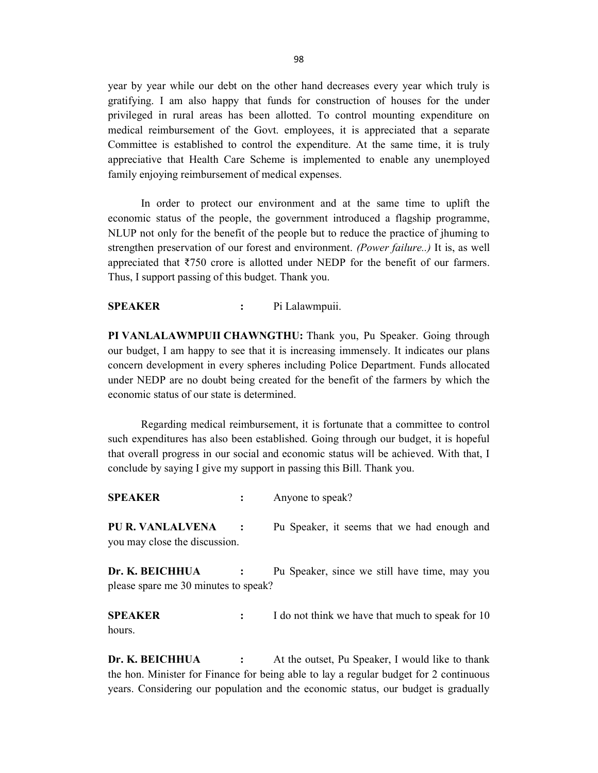year by year while our debt on the other hand decreases every year which truly is gratifying. I am also happy that funds for construction of houses for the under privileged in rural areas has been allotted. To control mounting expenditure on medical reimbursement of the Govt. employees, it is appreciated that a separate Committee is established to control the expenditure. At the same time, it is truly appreciative that Health Care Scheme is implemented to enable any unemployed family enjoying reimbursement of medical expenses.

 In order to protect our environment and at the same time to uplift the economic status of the people, the government introduced a flagship programme, NLUP not only for the benefit of the people but to reduce the practice of jhuming to strengthen preservation of our forest and environment. (Power failure..) It is, as well appreciated that ₹750 crore is allotted under NEDP for the benefit of our farmers. Thus, I support passing of this budget. Thank you.

#### SPEAKER : Pi Lalawmpuii.

PI VANLALAWMPUII CHAWNGTHU: Thank you, Pu Speaker. Going through our budget, I am happy to see that it is increasing immensely. It indicates our plans concern development in every spheres including Police Department. Funds allocated under NEDP are no doubt being created for the benefit of the farmers by which the economic status of our state is determined.

 Regarding medical reimbursement, it is fortunate that a committee to control such expenditures has also been established. Going through our budget, it is hopeful that overall progress in our social and economic status will be achieved. With that, I conclude by saying I give my support in passing this Bill. Thank you.

SPEAKER : Anyone to speak?

PU R. VANLALVENA : Pu Speaker, it seems that we had enough and you may close the discussion.

Dr. K. BEICHHUA : Pu Speaker, since we still have time, may you please spare me 30 minutes to speak?

**SPEAKER** : I do not think we have that much to speak for 10 hours.

Dr. K. BEICHHUA : At the outset, Pu Speaker, I would like to thank the hon. Minister for Finance for being able to lay a regular budget for 2 continuous years. Considering our population and the economic status, our budget is gradually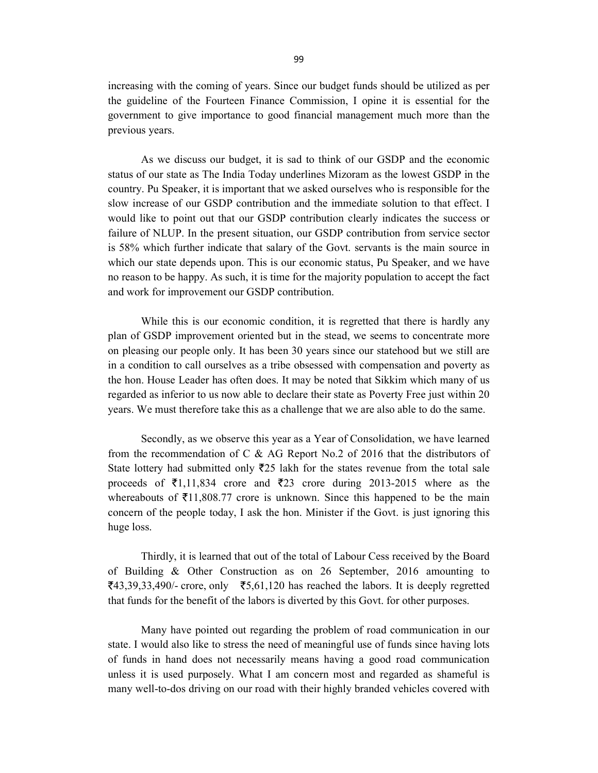increasing with the coming of years. Since our budget funds should be utilized as per the guideline of the Fourteen Finance Commission, I opine it is essential for the government to give importance to good financial management much more than the previous years.

 As we discuss our budget, it is sad to think of our GSDP and the economic status of our state as The India Today underlines Mizoram as the lowest GSDP in the country. Pu Speaker, it is important that we asked ourselves who is responsible for the slow increase of our GSDP contribution and the immediate solution to that effect. I would like to point out that our GSDP contribution clearly indicates the success or failure of NLUP. In the present situation, our GSDP contribution from service sector is 58% which further indicate that salary of the Govt. servants is the main source in which our state depends upon. This is our economic status, Pu Speaker, and we have no reason to be happy. As such, it is time for the majority population to accept the fact and work for improvement our GSDP contribution.

 While this is our economic condition, it is regretted that there is hardly any plan of GSDP improvement oriented but in the stead, we seems to concentrate more on pleasing our people only. It has been 30 years since our statehood but we still are in a condition to call ourselves as a tribe obsessed with compensation and poverty as the hon. House Leader has often does. It may be noted that Sikkim which many of us regarded as inferior to us now able to declare their state as Poverty Free just within 20 years. We must therefore take this as a challenge that we are also able to do the same.

 Secondly, as we observe this year as a Year of Consolidation, we have learned from the recommendation of C & AG Report No.2 of 2016 that the distributors of State lottery had submitted only  $\bar{\tau}$ 25 lakh for the states revenue from the total sale proceeds of  $\bar{\xi}$ 1,11,834 crore and  $\bar{\xi}$ 23 crore during 2013-2015 where as the whereabouts of  $\bar{\xi}$ 11,808.77 crore is unknown. Since this happened to be the main concern of the people today, I ask the hon. Minister if the Govt. is just ignoring this huge loss.

 Thirdly, it is learned that out of the total of Labour Cess received by the Board of Building & Other Construction as on 26 September, 2016 amounting to  $\overline{\xi}$ 43,39,33,490/- crore, only  $\overline{\xi}$ 5,61,120 has reached the labors. It is deeply regretted that funds for the benefit of the labors is diverted by this Govt. for other purposes.

 Many have pointed out regarding the problem of road communication in our state. I would also like to stress the need of meaningful use of funds since having lots of funds in hand does not necessarily means having a good road communication unless it is used purposely. What I am concern most and regarded as shameful is many well-to-dos driving on our road with their highly branded vehicles covered with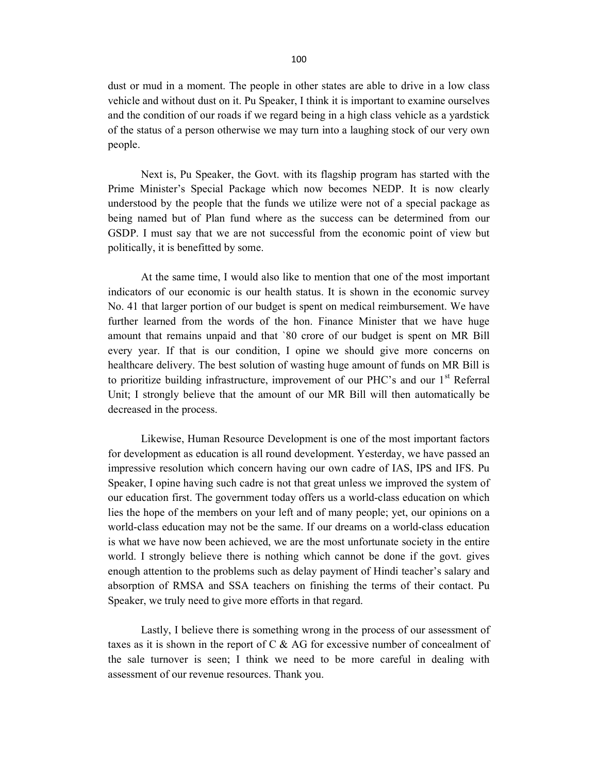dust or mud in a moment. The people in other states are able to drive in a low class vehicle and without dust on it. Pu Speaker, I think it is important to examine ourselves and the condition of our roads if we regard being in a high class vehicle as a yardstick of the status of a person otherwise we may turn into a laughing stock of our very own people.

 Next is, Pu Speaker, the Govt. with its flagship program has started with the Prime Minister's Special Package which now becomes NEDP. It is now clearly understood by the people that the funds we utilize were not of a special package as being named but of Plan fund where as the success can be determined from our GSDP. I must say that we are not successful from the economic point of view but politically, it is benefitted by some.

 At the same time, I would also like to mention that one of the most important indicators of our economic is our health status. It is shown in the economic survey No. 41 that larger portion of our budget is spent on medical reimbursement. We have further learned from the words of the hon. Finance Minister that we have huge amount that remains unpaid and that `80 crore of our budget is spent on MR Bill every year. If that is our condition, I opine we should give more concerns on healthcare delivery. The best solution of wasting huge amount of funds on MR Bill is to prioritize building infrastructure, improvement of our PHC's and our 1<sup>st</sup> Referral Unit; I strongly believe that the amount of our MR Bill will then automatically be decreased in the process.

 Likewise, Human Resource Development is one of the most important factors for development as education is all round development. Yesterday, we have passed an impressive resolution which concern having our own cadre of IAS, IPS and IFS. Pu Speaker, I opine having such cadre is not that great unless we improved the system of our education first. The government today offers us a world-class education on which lies the hope of the members on your left and of many people; yet, our opinions on a world-class education may not be the same. If our dreams on a world-class education is what we have now been achieved, we are the most unfortunate society in the entire world. I strongly believe there is nothing which cannot be done if the govt. gives enough attention to the problems such as delay payment of Hindi teacher's salary and absorption of RMSA and SSA teachers on finishing the terms of their contact. Pu Speaker, we truly need to give more efforts in that regard.

 Lastly, I believe there is something wrong in the process of our assessment of taxes as it is shown in the report of C & AG for excessive number of concealment of the sale turnover is seen; I think we need to be more careful in dealing with assessment of our revenue resources. Thank you.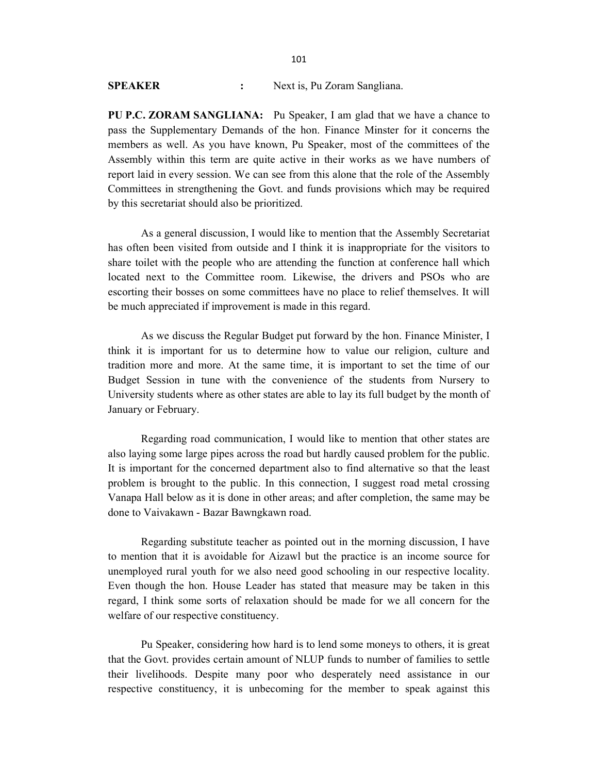PU P.C. ZORAM SANGLIANA: Pu Speaker, I am glad that we have a chance to pass the Supplementary Demands of the hon. Finance Minster for it concerns the members as well. As you have known, Pu Speaker, most of the committees of the Assembly within this term are quite active in their works as we have numbers of report laid in every session. We can see from this alone that the role of the Assembly Committees in strengthening the Govt. and funds provisions which may be required by this secretariat should also be prioritized.

 As a general discussion, I would like to mention that the Assembly Secretariat has often been visited from outside and I think it is inappropriate for the visitors to share toilet with the people who are attending the function at conference hall which located next to the Committee room. Likewise, the drivers and PSOs who are escorting their bosses on some committees have no place to relief themselves. It will be much appreciated if improvement is made in this regard.

 As we discuss the Regular Budget put forward by the hon. Finance Minister, I think it is important for us to determine how to value our religion, culture and tradition more and more. At the same time, it is important to set the time of our Budget Session in tune with the convenience of the students from Nursery to University students where as other states are able to lay its full budget by the month of January or February.

 Regarding road communication, I would like to mention that other states are also laying some large pipes across the road but hardly caused problem for the public. It is important for the concerned department also to find alternative so that the least problem is brought to the public. In this connection, I suggest road metal crossing Vanapa Hall below as it is done in other areas; and after completion, the same may be done to Vaivakawn - Bazar Bawngkawn road.

 Regarding substitute teacher as pointed out in the morning discussion, I have to mention that it is avoidable for Aizawl but the practice is an income source for unemployed rural youth for we also need good schooling in our respective locality. Even though the hon. House Leader has stated that measure may be taken in this regard, I think some sorts of relaxation should be made for we all concern for the welfare of our respective constituency.

 Pu Speaker, considering how hard is to lend some moneys to others, it is great that the Govt. provides certain amount of NLUP funds to number of families to settle their livelihoods. Despite many poor who desperately need assistance in our respective constituency, it is unbecoming for the member to speak against this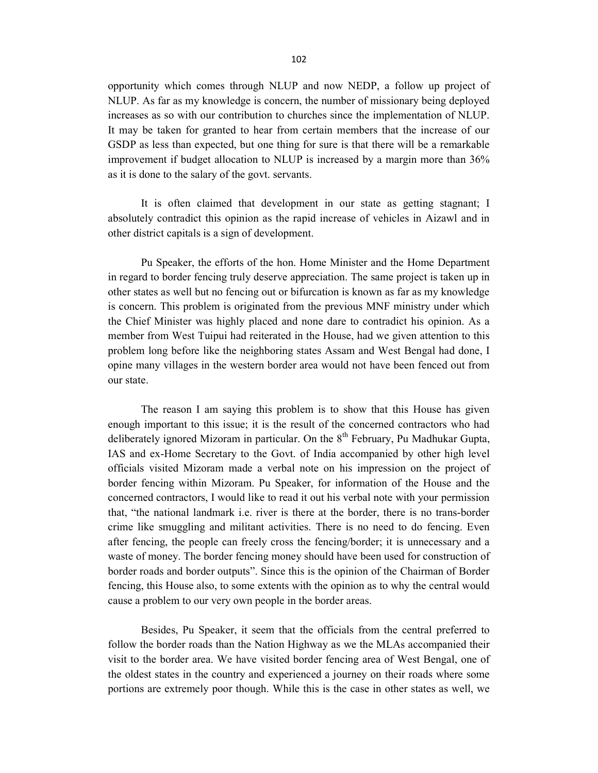opportunity which comes through NLUP and now NEDP, a follow up project of NLUP. As far as my knowledge is concern, the number of missionary being deployed increases as so with our contribution to churches since the implementation of NLUP. It may be taken for granted to hear from certain members that the increase of our GSDP as less than expected, but one thing for sure is that there will be a remarkable improvement if budget allocation to NLUP is increased by a margin more than 36% as it is done to the salary of the govt. servants.

 It is often claimed that development in our state as getting stagnant; I absolutely contradict this opinion as the rapid increase of vehicles in Aizawl and in other district capitals is a sign of development.

 Pu Speaker, the efforts of the hon. Home Minister and the Home Department in regard to border fencing truly deserve appreciation. The same project is taken up in other states as well but no fencing out or bifurcation is known as far as my knowledge is concern. This problem is originated from the previous MNF ministry under which the Chief Minister was highly placed and none dare to contradict his opinion. As a member from West Tuipui had reiterated in the House, had we given attention to this problem long before like the neighboring states Assam and West Bengal had done, I opine many villages in the western border area would not have been fenced out from our state.

 The reason I am saying this problem is to show that this House has given enough important to this issue; it is the result of the concerned contractors who had deliberately ignored Mizoram in particular. On the  $8<sup>th</sup>$  February, Pu Madhukar Gupta, IAS and ex-Home Secretary to the Govt. of India accompanied by other high level officials visited Mizoram made a verbal note on his impression on the project of border fencing within Mizoram. Pu Speaker, for information of the House and the concerned contractors, I would like to read it out his verbal note with your permission that, "the national landmark i.e. river is there at the border, there is no trans-border crime like smuggling and militant activities. There is no need to do fencing. Even after fencing, the people can freely cross the fencing/border; it is unnecessary and a waste of money. The border fencing money should have been used for construction of border roads and border outputs". Since this is the opinion of the Chairman of Border fencing, this House also, to some extents with the opinion as to why the central would cause a problem to our very own people in the border areas.

 Besides, Pu Speaker, it seem that the officials from the central preferred to follow the border roads than the Nation Highway as we the MLAs accompanied their visit to the border area. We have visited border fencing area of West Bengal, one of the oldest states in the country and experienced a journey on their roads where some portions are extremely poor though. While this is the case in other states as well, we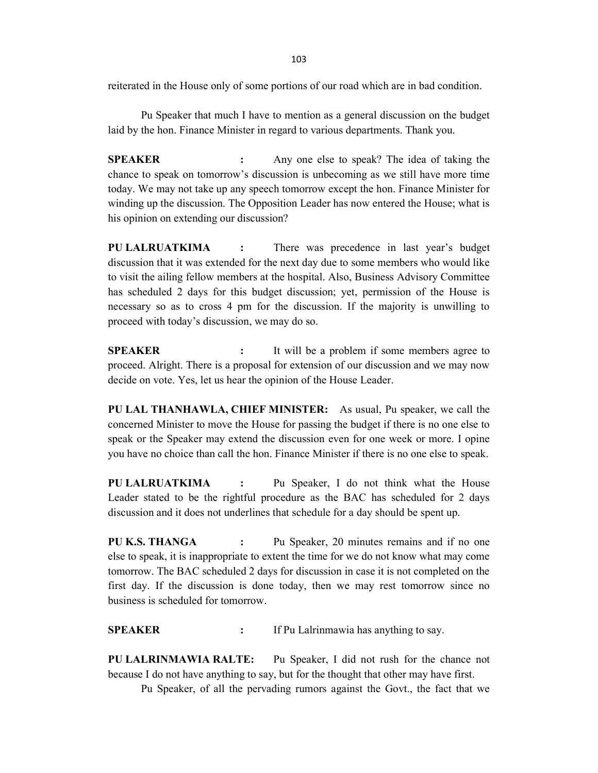reiterated in the House only of some portions of our road which are in bad condition.

 Pu Speaker that much I have to mention as a general discussion on the budget laid by the hon. Finance Minister in regard to various departments. Thank you.

SPEAKER : Any one else to speak? The idea of taking the chance to speak on tomorrow's discussion is unbecoming as we still have more time today. We may not take up any speech tomorrow except the hon. Finance Minister for winding up the discussion. The Opposition Leader has now entered the House; what is his opinion on extending our discussion?

PU LALRUATKIMA : There was precedence in last year's budget discussion that it was extended for the next day due to some members who would like to visit the ailing fellow members at the hospital. Also, Business Advisory Committee has scheduled 2 days for this budget discussion; yet, permission of the House is necessary so as to cross 4 pm for the discussion. If the majority is unwilling to proceed with today's discussion, we may do so.

**SPEAKER** : It will be a problem if some members agree to proceed. Alright. There is a proposal for extension of our discussion and we may now decide on vote. Yes, let us hear the opinion of the House Leader.

PU LAL THANHAWLA, CHIEF MINISTER: As usual, Pu speaker, we call the concerned Minister to move the House for passing the budget if there is no one else to speak or the Speaker may extend the discussion even for one week or more. I opine you have no choice than call the hon. Finance Minister if there is no one else to speak.

PU LALRUATKIMA : Pu Speaker, I do not think what the House Leader stated to be the rightful procedure as the BAC has scheduled for 2 days discussion and it does not underlines that schedule for a day should be spent up.

PU K.S. THANGA : Pu Speaker, 20 minutes remains and if no one else to speak, it is inappropriate to extent the time for we do not know what may come tomorrow. The BAC scheduled 2 days for discussion in case it is not completed on the first day. If the discussion is done today, then we may rest tomorrow since no business is scheduled for tomorrow.

SPEAKER : If Pu Lalrinmawia has anything to say.

PU LALRINMAWIA RALTE: Pu Speaker, I did not rush for the chance not because I do not have anything to say, but for the thought that other may have first.

Pu Speaker, of all the pervading rumors against the Govt., the fact that we